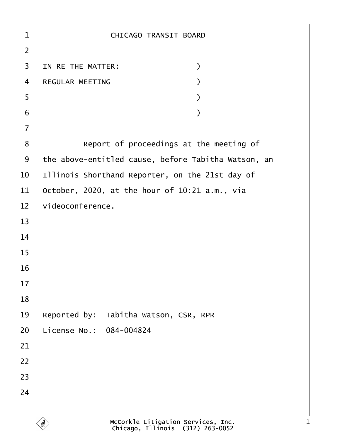| 1              | <b>CHICAGO TRANSIT BOARD</b>                        |
|----------------|-----------------------------------------------------|
| $\overline{2}$ |                                                     |
| 3              | IN RE THE MATTER:<br>$\mathcal{)}$                  |
| 4              | <b>REGULAR MEETING</b>                              |
| 5              |                                                     |
| 6              |                                                     |
| $\overline{7}$ |                                                     |
| 8              | Report of proceedings at the meeting of             |
| 9              | the above-entitled cause, before Tabitha Watson, an |
| 10             | Illinois Shorthand Reporter, on the 21st day of     |
| 11             | October, 2020, at the hour of 10:21 a.m., via       |
| 12             | videoconference.                                    |
| 13             |                                                     |
| 14             |                                                     |
| 15             |                                                     |
| 16             |                                                     |
| 17             |                                                     |
| 18             |                                                     |
| 19             | Reported by: Tabitha Watson, CSR, RPR               |
| 20             | License No.: 084-004824                             |
| 21             |                                                     |
| 22             |                                                     |
| 23             |                                                     |
| 24             |                                                     |
|                |                                                     |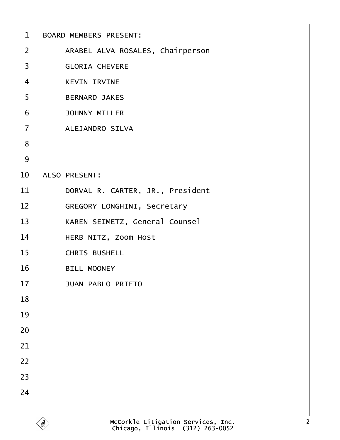| $\mathbf 1$    | <b>BOARD MEMBERS PRESENT:</b>         |
|----------------|---------------------------------------|
| 2              | ARABEL ALVA ROSALES, Chairperson      |
| 3              | <b>GLORIA CHEVERE</b>                 |
| $\overline{4}$ | <b>KEVIN IRVINE</b>                   |
| 5              | <b>BERNARD JAKES</b>                  |
| 6              | <b>JOHNNY MILLER</b>                  |
| $\overline{7}$ | <b>ALEJANDRO SILVA</b>                |
| 8              |                                       |
| $9$            |                                       |
| 10             | <b>ALSO PRESENT:</b>                  |
| 11             | DORVAL R. CARTER, JR., President      |
| 12             | <b>GREGORY LONGHINI, Secretary</b>    |
| 13             | <b>KAREN SEIMETZ, General Counsel</b> |
| 14             | HERB NITZ, Zoom Host                  |
| 15             | <b>CHRIS BUSHELL</b>                  |
| 16             | <b>BILL MOONEY</b>                    |
| 17             | <b>JUAN PABLO PRIETO</b>              |
| 18             |                                       |
| 19             |                                       |
| 20             |                                       |
| 21             |                                       |
| 22             |                                       |
| 23             |                                       |
| 24             |                                       |
|                |                                       |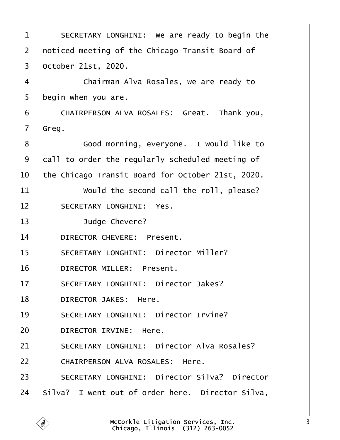<span id="page-2-0"></span>

| 1  | SECRETARY LONGHINI: We are ready to begin the       |
|----|-----------------------------------------------------|
| 2  | noticed meeting of the Chicago Transit Board of     |
| 3  | October 21st, 2020.                                 |
| 4  | Chairman Alva Rosales, we are ready to              |
| 5  | begin when you are.                                 |
| 6  | CHAIRPERSON ALVA ROSALES: Great. Thank you,         |
| 7  | Greg.                                               |
| 8  | Good morning, everyone. I would like to             |
| 9  | dall to order the regularly scheduled meeting of    |
| 10 | the Chicago Transit Board for October 21st, 2020.   |
| 11 | Would the second call the roll, please?             |
| 12 | <b>SECRETARY LONGHINI: Yes.</b>                     |
| 13 | Judge Chevere?                                      |
| 14 | <b>DIRECTOR CHEVERE: Present.</b>                   |
| 15 | <b>SECRETARY LONGHINI: Director Miller?</b>         |
| 16 | <b>DIRECTOR MILLER: Present.</b>                    |
| 17 | <b>SECRETARY LONGHINI: Director Jakes?</b>          |
| 18 | <b>DIRECTOR JAKES: Here.</b>                        |
| 19 | <b>SECRETARY LONGHINI: Director Irvine?</b>         |
| 20 | DIRECTOR IRVINE: Here.                              |
| 21 | <b>SECRETARY LONGHINI: Director Alva Rosales?</b>   |
| 22 | CHAIRPERSON ALVA ROSALES: Here.                     |
| 23 | <b>SECRETARY LONGHINI: Director Silva? Director</b> |
| 24 | Silva? I went out of order here. Director Silva,    |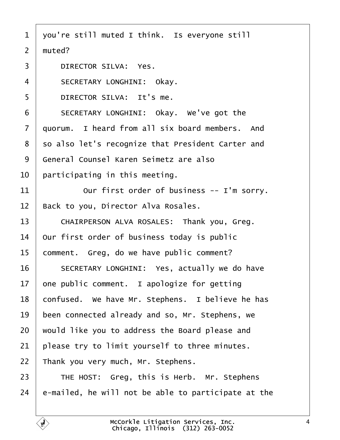- <span id="page-3-0"></span>1 you're still muted I think. Is everyone still
- 2 muted?
- 3 DIRECTOR SILVA: Yes.
- 4 | SECRETARY LONGHINI: Okay.
- 5 **DIRECTOR SILVA: It's me.**
- 6 | SECRETARY LONGHINI: Okay. We've got the
- 7 duorum. I heard from all six board members. And
- 8 so also let's recognize that President Carter and
- 9 General Counsel Karen Seimetz are also
- 10 **participating in this meeting.**
- 11 **Our first order of business -- I'm sorry.**
- 12 Back to you, Director Alva Rosales.
- 13 | CHAIRPERSON ALVA ROSALES: Thank you, Greg.
- 14 Our first order of business today is public
- 15 comment. Greg, do we have public comment?
- 16 | SECRETARY LONGHINI: Yes, actually we do have
- 17 one public comment. I apologize for getting
- 18 confused. We have Mr. Stephens. I believe he has
- 19 been connected already and so, Mr. Stephens, we
- 20 would like you to address the Board please and
- 21 **please try to limit yourself to three minutes.**
- 22 Thank you very much, Mr. Stephens.
- $23$  | THE HOST: Greg, this is Herb. Mr. Stephens
- 24  $\,$  e-mailed, he will not be able to participate at the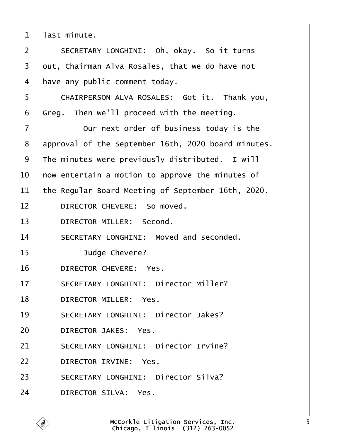<span id="page-4-0"></span>

| 1              | last minute.                                        |
|----------------|-----------------------------------------------------|
| $\overline{2}$ | SECRETARY LONGHINI: Oh, okay. So it turns           |
| 3              | dut, Chairman Alva Rosales, that we do have not     |
| 4              | have any public comment today.                      |
| 5              | CHAIRPERSON ALVA ROSALES: Got it. Thank you,        |
| 6              | Greg. Then we'll proceed with the meeting.          |
| $\overline{7}$ | Our next order of business today is the             |
| 8              | approval of the September 16th, 2020 board minutes. |
| 9              | The minutes were previously distributed. I will     |
| 10             | how entertain a motion to approve the minutes of    |
| 11             | the Regular Board Meeting of September 16th, 2020.  |
| 12             | DIRECTOR CHEVERE: So moved.                         |
| 13             | <b>DIRECTOR MILLER: Second.</b>                     |
| 14             | SECRETARY LONGHINI: Moved and seconded.             |
| 15             | Judge Chevere?                                      |
| 16             | DIRECTOR CHEVERE: Yes.                              |
| 17             | <b>SECRETARY LONGHINI: Director Miller?</b>         |
| 18             | DIRECTOR MILLER: Yes.                               |
| 19             | <b>SECRETARY LONGHINI: Director Jakes?</b>          |
| 20             | DIRECTOR JAKES: Yes.                                |
| 21             | <b>SECRETARY LONGHINI: Director Irvine?</b>         |
| 22             | <b>DIRECTOR IRVINE: Yes.</b>                        |
| 23             | <b>SECRETARY LONGHINI: Director Silva?</b>          |
| 24             | DIRECTOR SILVA: Yes.                                |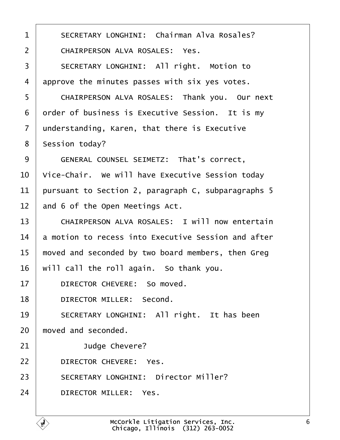<span id="page-5-0"></span>

| 1              | <b>SECRETARY LONGHINI: Chairman Alva Rosales?</b>     |
|----------------|-------------------------------------------------------|
| $\overline{2}$ | <b>CHAIRPERSON ALVA ROSALES: Yes.</b>                 |
| 3              | SECRETARY LONGHINI: All right. Motion to              |
| 4              | approve the minutes passes with six yes votes.        |
| 5              | CHAIRPERSON ALVA ROSALES: Thank you. Our next         |
| 6              | drder of business is Executive Session. It is my      |
| $\overline{7}$ | understanding, Karen, that there is Executive         |
| 8              | <b>Session today?</b>                                 |
| 9              | <b>GENERAL COUNSEL SEIMETZ: That's correct,</b>       |
| 10             | Vice-Chair. We will have Executive Session today      |
| 11             | pursuant to Section 2, paragraph C, subparagraphs 5   |
| 12             | and 6 of the Open Meetings Act.                       |
| 13             | <b>CHAIRPERSON ALVA ROSALES: I will now entertain</b> |
| 14             | a motion to recess into Executive Session and after   |
| 15             | moved and seconded by two board members, then Greg    |
|                | 16 will call the roll again. So thank you.            |
| 17             | DIRECTOR CHEVERE: So moved.                           |
| 18             | <b>DIRECTOR MILLER: Second.</b>                       |
| 19             | SECRETARY LONGHINI: All right. It has been            |
| 20             | moved and seconded.                                   |
| 21             | Judge Chevere?                                        |
| 22             | DIRECTOR CHEVERE: Yes.                                |
| 23             | <b>SECRETARY LONGHINI: Director Miller?</b>           |
| 24             | <b>DIRECTOR MILLER: Yes.</b>                          |

Г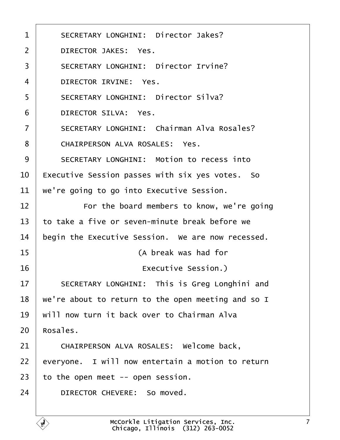<span id="page-6-0"></span>

| 1  | <b>SECRETARY LONGHINI: Director Jakes?</b>         |
|----|----------------------------------------------------|
| 2  | <b>DIRECTOR JAKES: Yes.</b>                        |
| 3  | <b>SECRETARY LONGHINI: Director Irvine?</b>        |
| 4  | <b>DIRECTOR IRVINE: Yes.</b>                       |
| 5  | <b>SECRETARY LONGHINI: Director Silva?</b>         |
| 6  | <b>DIRECTOR SILVA: Yes.</b>                        |
| 7  | <b>SECRETARY LONGHINI: Chairman Alva Rosales?</b>  |
| 8  | <b>CHAIRPERSON ALVA ROSALES: Yes.</b>              |
| 9  | <b>SECRETARY LONGHINI: Motion to recess into</b>   |
| 10 | Executive Session passes with six yes votes. So    |
| 11 | we're going to go into Executive Session.          |
| 12 | For the board members to know, we're going         |
| 13 | to take a five or seven-minute break before we     |
| 14 | begin the Executive Session. We are now recessed.  |
| 15 | (A break was had for                               |
| 16 | Executive Session.)                                |
| 17 | SECRETARY LONGHINI: This is Greg Longhini and      |
| 18 | we're about to return to the open meeting and so I |
| 19 | will now turn it back over to Chairman Alva        |
| 20 | Rosales.                                           |
| 21 | CHAIRPERSON ALVA ROSALES: Welcome back,            |
| 22 | everyone. I will now entertain a motion to return  |
| 23 | to the open meet -- open session.                  |
| 24 | DIRECTOR CHEVERE: So moved.                        |
|    |                                                    |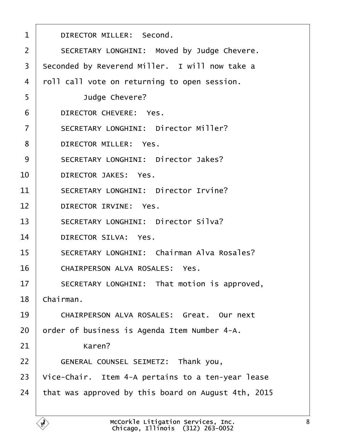<span id="page-7-0"></span>

| 1              | DIRECTOR MILLER: Second.                            |
|----------------|-----------------------------------------------------|
| $\overline{2}$ | SECRETARY LONGHINI: Moved by Judge Chevere.         |
| 3              | Seconded by Reverend Miller. I will now take a      |
| 4              | roll call vote on returning to open session.        |
| 5              | Judge Chevere?                                      |
| 6              | DIRECTOR CHEVERE: Yes.                              |
| $\overline{7}$ | <b>SECRETARY LONGHINI: Director Miller?</b>         |
| 8              | <b>DIRECTOR MILLER: Yes.</b>                        |
| 9              | <b>SECRETARY LONGHINI: Director Jakes?</b>          |
| 10             | <b>DIRECTOR JAKES: Yes.</b>                         |
| 11             | <b>SECRETARY LONGHINI: Director Irvine?</b>         |
| 12             | <b>DIRECTOR IRVINE: Yes.</b>                        |
| 13             | <b>SECRETARY LONGHINI: Director Silva?</b>          |
| 14             | <b>DIRECTOR SILVA: Yes.</b>                         |
| 15             | <b>SECRETARY LONGHINI: Chairman Alva Rosales?</b>   |
| 16             | <b>CHAIRPERSON ALVA ROSALES: Yes.</b>               |
| 17             | SECRETARY LONGHINI: That motion is approved,        |
| 18             | Chairman.                                           |
| 19             | <b>CHAIRPERSON ALVA ROSALES: Great. Our next</b>    |
| 20             | order of business is Agenda Item Number 4-A.        |
| 21             | Karen?                                              |
| 22             | GENERAL COUNSEL SEIMETZ: Thank you,                 |
| 23             | Vice-Chair. Item 4-A pertains to a ten-year lease   |
| 24             | that was approved by this board on August 4th, 2015 |
|                |                                                     |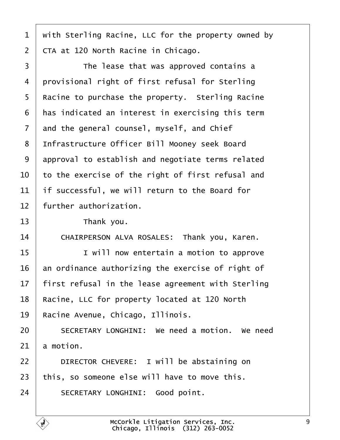- <span id="page-8-0"></span>1 with Sterling Racine, LLC for the property owned by
- 2 CTA at 120 North Racine in Chicago.
- 3 **The lease that was approved contains a** 4 provisional right of first refusal for Sterling 5 Racine to purchase the property. Sterling Racine 6 has indicated an interest in exercising this term 7 and the general counsel, myself, and Chief 8 Infrastructure Officer Bill Mooney seek Board 9 approval to establish and negotiate terms related 10 to the exercise of the right of first refusal and 11 If successful, we will return to the Board for 12 further authorization.  $13$  Thank you. 14 | CHAIRPERSON ALVA ROSALES: Thank you, Karen. 15 **I** I will now entertain a motion to approve 16 an ordinance authorizing the exercise of right of 17 first refusal in the lease agreement with Sterling 18 Racine, LLC for property located at 120 North 19 Racine Avenue, Chicago, Illinois. 20 **SECRETARY LONGHINI:** We need a motion. We need  $21$  a motion. 22 | DIRECTOR CHEVERE: I will be abstaining on 23 this, so someone else will have to move this. 24 | SECRETARY LONGHINI: Good point.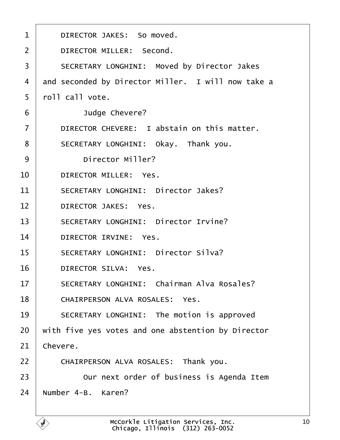<span id="page-9-0"></span>

| 1              | DIRECTOR JAKES: So moved.                          |
|----------------|----------------------------------------------------|
| 2              | <b>DIRECTOR MILLER: Second.</b>                    |
| 3              | <b>SECRETARY LONGHINI: Moved by Director Jakes</b> |
| $\overline{4}$ | and seconded by Director Miller. I will now take a |
| 5              | rbll call vote.                                    |
| 6              | Judge Chevere?                                     |
| $\overline{7}$ | DIRECTOR CHEVERE: I abstain on this matter.        |
| 8              | SECRETARY LONGHINI: Okay. Thank you.               |
| 9              | <b>Director Miller?</b>                            |
| 10             | <b>DIRECTOR MILLER: Yes.</b>                       |
| 11             | <b>SECRETARY LONGHINI: Director Jakes?</b>         |
| 12             | <b>DIRECTOR JAKES: Yes.</b>                        |
| 13             | <b>SECRETARY LONGHINI: Director Irvine?</b>        |
| 14             | <b>DIRECTOR IRVINE: Yes.</b>                       |
| 15             | <b>SECRETARY LONGHINI: Director Silva?</b>         |
| 16             | <b>DIRECTOR SILVA: Yes.</b>                        |
| 17             | <b>SECRETARY LONGHINI: Chairman Alva Rosales?</b>  |
| 18             | <b>CHAIRPERSON ALVA ROSALES: Yes.</b>              |
| 19             | SECRETARY LONGHINI: The motion is approved         |
| 20             | with five yes votes and one abstention by Director |
| 21             | Chevere.                                           |
| 22             | CHAIRPERSON ALVA ROSALES: Thank you.               |
| 23             | Our next order of business is Agenda Item          |
| 24             | Number 4-B. Karen?                                 |
|                |                                                    |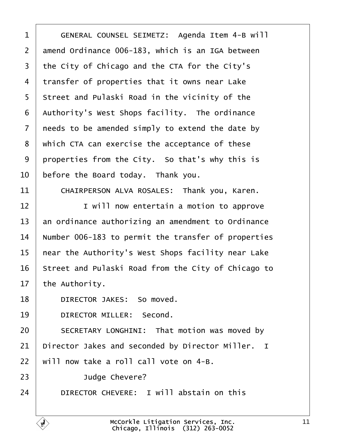<span id="page-10-0"></span>

| 1              | GENERAL COUNSEL SEIMETZ: Agenda Item 4-B will       |
|----------------|-----------------------------------------------------|
| $\overline{2}$ | amend Ordinance 006-183, which is an IGA between    |
| 3              | the City of Chicago and the CTA for the City's      |
| 4              | transfer of properties that it owns near Lake       |
| 5              | Street and Pulaski Road in the vicinity of the      |
| 6              | Authority's West Shops facility. The ordinance      |
| $\overline{7}$ | needs to be amended simply to extend the date by    |
| 8              | which CTA can exercise the acceptance of these      |
| 9              | properties from the City. So that's why this is     |
| 10             | before the Board today. Thank you.                  |
| 11             | CHAIRPERSON ALVA ROSALES: Thank you, Karen.         |
| 12             | I will now entertain a motion to approve            |
| 13             | an ordinance authorizing an amendment to Ordinance  |
| 14             | Number 006-183 to permit the transfer of properties |
| 15             | hear the Authority's West Shops facility near Lake  |
| 16             | Street and Pulaski Road from the City of Chicago to |
| 17             | the Authority.                                      |
| 18             | DIRECTOR JAKES: So moved.                           |
| 19             | DIRECTOR MILLER: Second.                            |
| 20             | SECRETARY LONGHINI: That motion was moved by        |
| 21             | Director Jakes and seconded by Director Miller. I   |
| 22             | will now take a roll call vote on 4-B.              |
| 23             | Judge Chevere?                                      |
| 24             | DIRECTOR CHEVERE: I will abstain on this            |
|                |                                                     |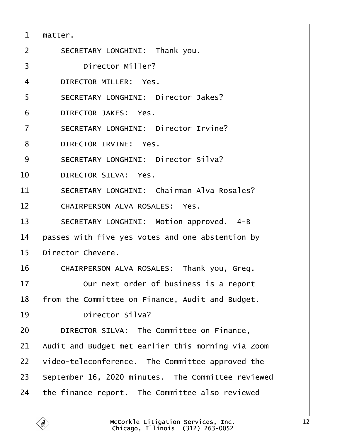<span id="page-11-0"></span>

| $\mathbf 1$    | matter.                                            |
|----------------|----------------------------------------------------|
| 2              | SECRETARY LONGHINI: Thank you.                     |
| 3              | <b>Director Miller?</b>                            |
| 4              | <b>DIRECTOR MILLER: Yes.</b>                       |
| 5              | <b>SECRETARY LONGHINI: Director Jakes?</b>         |
| 6              | <b>DIRECTOR JAKES: Yes.</b>                        |
| $\overline{7}$ | <b>SECRETARY LONGHINI: Director Irvine?</b>        |
| 8              | DIRECTOR IRVINE: Yes.                              |
| 9              | <b>SECRETARY LONGHINI: Director Silva?</b>         |
| 10             | <b>DIRECTOR SILVA: Yes.</b>                        |
| 11             | <b>SECRETARY LONGHINI: Chairman Alva Rosales?</b>  |
| 12             | <b>CHAIRPERSON ALVA ROSALES: Yes.</b>              |
| 13             | SECRETARY LONGHINI: Motion approved. 4-B           |
| 14             | passes with five yes votes and one abstention by   |
| 15             | Director Chevere.                                  |
| 16             | CHAIRPERSON ALVA ROSALES: Thank you, Greg.         |
| 17             | Our next order of business is a report             |
| 18             | from the Committee on Finance, Audit and Budget.   |
| 19             | <b>Director Silva?</b>                             |
| 20             | DIRECTOR SILVA: The Committee on Finance,          |
| 21             | Audit and Budget met earlier this morning via Zoom |
| 22             | video-teleconference. The Committee approved the   |
| 23             | September 16, 2020 minutes. The Committee reviewed |
| 24             | the finance report. The Committee also reviewed    |
|                |                                                    |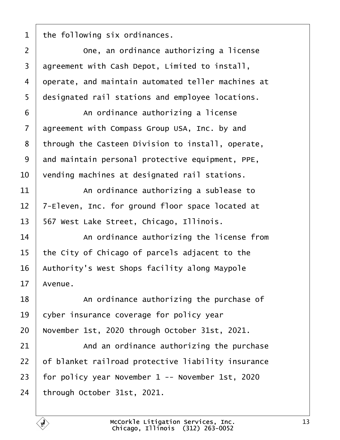<span id="page-12-0"></span>

| 1  | the following six ordinances.                      |
|----|----------------------------------------------------|
| 2  | One, an ordinance authorizing a license            |
| 3  | agreement with Cash Depot, Limited to install,     |
| 4  | operate, and maintain automated teller machines at |
| 5  | designated rail stations and employee locations.   |
| 6  | An ordinance authorizing a license                 |
| 7  | agreement with Compass Group USA, Inc. by and      |
| 8  | through the Casteen Division to install, operate,  |
| 9  | and maintain personal protective equipment, PPE,   |
| 10 | vending machines at designated rail stations.      |
| 11 | An ordinance authorizing a sublease to             |
| 12 | 7-Eleven, Inc. for ground floor space located at   |
| 13 | 567 West Lake Street, Chicago, Illinois.           |
| 14 | An ordinance authorizing the license from          |
| 15 | the City of Chicago of parcels adjacent to the     |
| 16 | Authority's West Shops facility along Maypole      |
| 17 | Avenue.                                            |
| 18 | An ordinance authorizing the purchase of           |
| 19 | cyber insurance coverage for policy year           |
| 20 | November 1st, 2020 through October 31st, 2021.     |
| 21 | And an ordinance authorizing the purchase          |
| 22 | of blanket railroad protective liability insurance |
| 23 | for policy year November 1 -- November 1st, 2020   |
| 24 | through October 31st, 2021.                        |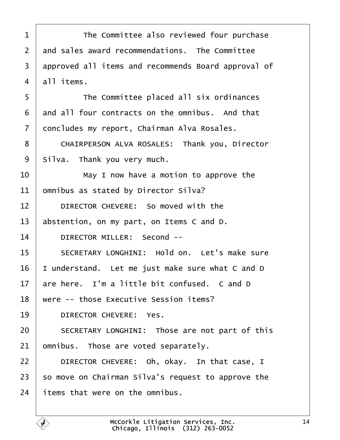<span id="page-13-0"></span>

| 1  | The Committee also reviewed four purchase           |
|----|-----------------------------------------------------|
| 2  | and sales award recommendations. The Committee      |
| 3  | approved all items and recommends Board approval of |
| 4  | all items.                                          |
| 5  | The Committee placed all six ordinances             |
| 6  | and all four contracts on the omnibus. And that     |
| 7  | doncludes my report, Chairman Alva Rosales.         |
| 8  | CHAIRPERSON ALVA ROSALES: Thank you, Director       |
| 9  | Silva. Thank you very much.                         |
| 10 | May I now have a motion to approve the              |
| 11 | omnibus as stated by Director Silva?                |
| 12 | DIRECTOR CHEVERE: So moved with the                 |
| 13 | abstention, on my part, on Items C and D.           |
| 14 | DIRECTOR MILLER: Second --                          |
| 15 | SECRETARY LONGHINI: Hold on. Let's make sure        |
| 16 | understand. Let me just make sure what C and D      |
| 17 | are here. I'm a little bit confused. C and D        |
| 18 | were -- those Executive Session items?              |
| 19 | <b>DIRECTOR CHEVERE: Yes.</b>                       |
| 20 | SECRETARY LONGHINI: Those are not part of this      |
| 21 | omnibus. Those are voted separately.                |
| 22 | DIRECTOR CHEVERE: Oh, okay. In that case, I         |
| 23 | so move on Chairman Silva's request to approve the  |
| 24 | items that were on the omnibus.                     |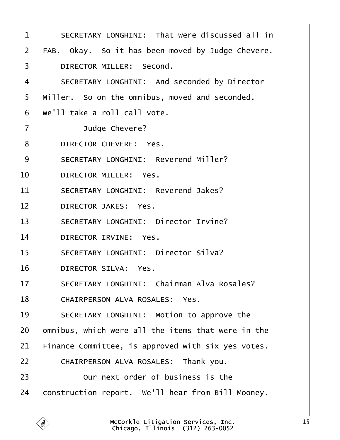<span id="page-14-0"></span>

| 1              | SECRETARY LONGHINI: That were discussed all in      |
|----------------|-----------------------------------------------------|
| 2              | FAB. Okay. So it has been moved by Judge Chevere.   |
| 3              | DIRECTOR MILLER: Second.                            |
| 4              | <b>SECRETARY LONGHINI: And seconded by Director</b> |
| 5              | Miller. So on the omnibus, moved and seconded.      |
| 6              | We'll take a roll call vote.                        |
| $\overline{7}$ | Judge Chevere?                                      |
| 8              | DIRECTOR CHEVERE: Yes.                              |
| 9              | <b>SECRETARY LONGHINI: Reverend Miller?</b>         |
| 10             | <b>DIRECTOR MILLER: Yes.</b>                        |
| 11             | <b>SECRETARY LONGHINI: Reverend Jakes?</b>          |
| 12             | <b>DIRECTOR JAKES: Yes.</b>                         |
| 13             | <b>SECRETARY LONGHINI: Director Irvine?</b>         |
| 14             | DIRECTOR IRVINE: Yes.                               |
| 15             | <b>SECRETARY LONGHINI: Director Silva?</b>          |
| 16             | <b>DIRECTOR SILVA: Yes.</b>                         |
| 17             | <b>SECRETARY LONGHINI: Chairman Alva Rosales?</b>   |
| 18             | <b>CHAIRPERSON ALVA ROSALES: Yes.</b>               |
| 19             | SECRETARY LONGHINI: Motion to approve the           |
| 20             | omnibus, which were all the items that were in the  |
| 21             | Finance Committee, is approved with six yes votes.  |
| 22             | CHAIRPERSON ALVA ROSALES: Thank you.                |
| 23             | Our next order of business is the                   |
| 24             | construction report. We'll hear from Bill Mooney.   |
|                |                                                     |

 $\overline{1}$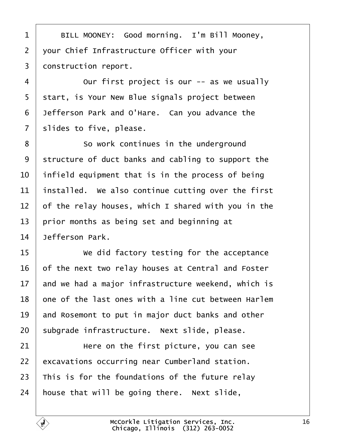<span id="page-15-0"></span>1 | BILL MOONEY: Good morning. I'm Bill Mooney, 2 your Chief Infrastructure Officer with your 3 donstruction report. 4 **Dur first project is our -- as we usually** 5 start, is Your New Blue signals project between 6 Jefferson Park and O'Hare. Can you advance the 7 slides to five, please. 8 **So work continues in the underground** 9 structure of duct banks and cabling to support the 10 infield equipment that is in the process of being 11 installed. We also continue cutting over the first 12 of the relay houses, which I shared with you in the 13 prior months as being set and beginning at 14 Jefferson Park. 15 **We did factory testing for the acceptance** 16 of the next two relay houses at Central and Foster 17 and we had a major infrastructure weekend, which is 18 one of the last ones with a line cut between Harlem 19 and Rosemont to put in major duct banks and other 20 subgrade infrastructure. Next slide, please.  $21$   $\parallel$   $\parallel$  Here on the first picture, you can see 22 excavations occurring near Cumberland station. 23 This is for the foundations of the future relay 24 house that will be going there. Next slide,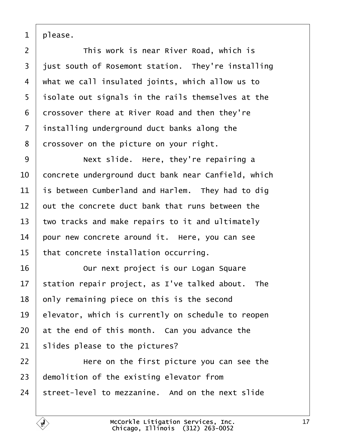<span id="page-16-0"></span>1 please.

2 **This work is near River Road, which is** 3 just south of Rosemont station. They're installing 4 what we call insulated joints, which allow us to 5 isolate out signals in the rails themselves at the 6 drossover there at River Road and then they're 7 installing underground duct banks along the 8 drossover on the picture on your right. 9 | Next slide. Here, they're repairing a 10 concrete underground duct bank near Canfield, which 11 is between Cumberland and Harlem. They had to dig 12 but the concrete duct bank that runs between the 13 two tracks and make repairs to it and ultimately 14 pour new concrete around it. Here, you can see 15 that concrete installation occurring. 16 **Durit is our Logan Square** 17 station repair project, as I've talked about. The 18 bnly remaining piece on this is the second 19 elevator, which is currently on schedule to reopen 20 at the end of this month. Can you advance the 21 slides please to the pictures?  $22$   $\parallel$  Here on the first picture you can see the 23 demolition of the existing elevator from 24 street-level to mezzanine. And on the next slide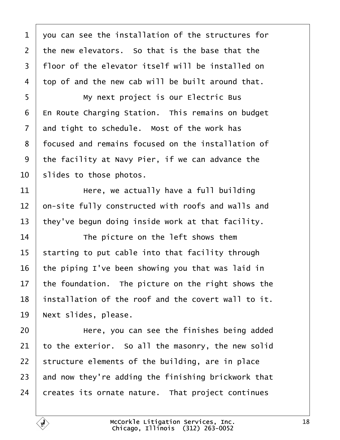<span id="page-17-0"></span>

| 1  | you can see the installation of the structures for  |
|----|-----------------------------------------------------|
| 2  | the new elevators. So that is the base that the     |
| 3  | floor of the elevator itself will be installed on   |
| 4  | top of and the new cab will be built around that.   |
| 5  | My next project is our Electric Bus                 |
| 6  | En Route Charging Station. This remains on budget   |
| 7  | and tight to schedule. Most of the work has         |
| 8  | focused and remains focused on the installation of  |
| 9  | the facility at Navy Pier, if we can advance the    |
| 10 | slides to those photos.                             |
| 11 | Here, we actually have a full building              |
| 12 | on-site fully constructed with roofs and walls and  |
| 13 | they've begun doing inside work at that facility.   |
| 14 | The picture on the left shows them                  |
| 15 | starting to put cable into that facility through    |
| 16 | the piping I've been showing you that was laid in   |
| 17 | the foundation. The picture on the right shows the  |
| 18 | installation of the roof and the covert wall to it. |
| 19 | Next slides, please.                                |
| 20 | Here, you can see the finishes being added          |
| 21 | to the exterior. So all the masonry, the new solid  |
| 22 | structure elements of the building, are in place    |
| 23 | and now they're adding the finishing brickwork that |
| 24 | creates its ornate nature. That project continues   |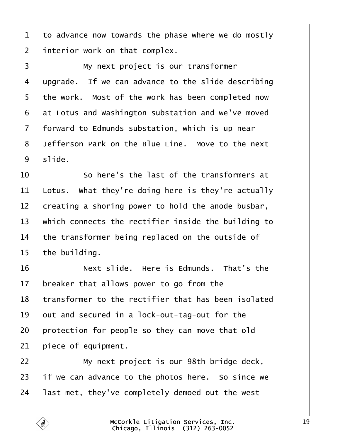<span id="page-18-0"></span>

|  |  | 1 to advance now towards the phase where we do mostly |  |  |  |
|--|--|-------------------------------------------------------|--|--|--|
|--|--|-------------------------------------------------------|--|--|--|

2 interior work on that complex.

3 | My next project is our transformer 4 upgrade. If we can advance to the slide describing 5 the work. Most of the work has been completed now 6 at Lotus and Washington substation and we've moved 7 forward to Edmunds substation, which is up near 8 Jefferson Park on the Blue Line. Move to the next 9 slide.  $10$  · · So here's the last of the transformers at 11 Lotus. What they're doing here is they're actually 12 creating a shoring power to hold the anode busbar, 13 which connects the rectifier inside the building to 14 the transformer being replaced on the outside of 15 the building.  $16$  · · · Next slide. Here is Edmunds. That's the 17 breaker that allows power to go from the 18 transformer to the rectifier that has been isolated 19 but and secured in a lock-out-tag-out for the 20 protection for people so they can move that old 21 piece of equipment. 22 **Wy next project is our 98th bridge deck,** 23 if we can advance to the photos here. So since we 24 last met, they've completely demoed out the west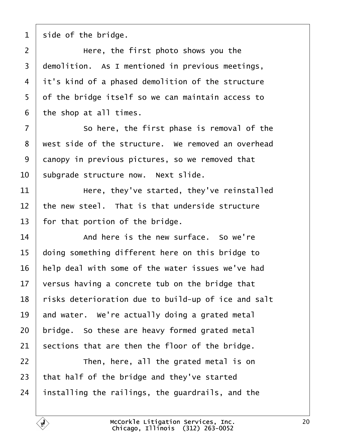<span id="page-19-0"></span>1 side of the bridge.

 $2 \mid$  Here, the first photo shows you the 3 demolition. As I mentioned in previous meetings, 4 it's kind of a phased demolition of the structure 5 of the bridge itself so we can maintain access to 6 the shop at all times.  $7 \mid$  So here, the first phase is removal of the 8 west side of the structure. We removed an overhead 9 danopy in previous pictures, so we removed that 10 subgrade structure now. Next slide. 11 **Here, they've started, they've reinstalled** 12 the new steel. That is that underside structure 13 for that portion of the bridge.  $14$   $\blacksquare$  And here is the new surface. So we're 15 doing something different here on this bridge to 16 help deal with some of the water issues we've had 17 versus having a concrete tub on the bridge that 18 risks deterioration due to build-up of ice and salt 19 and water. We're actually doing a grated metal 20 bridge. So these are heavy formed grated metal 21 sections that are then the floor of the bridge.  $22$  | Then, here, all the grated metal is on 23 that half of the bridge and they've started 24 installing the railings, the guardrails, and the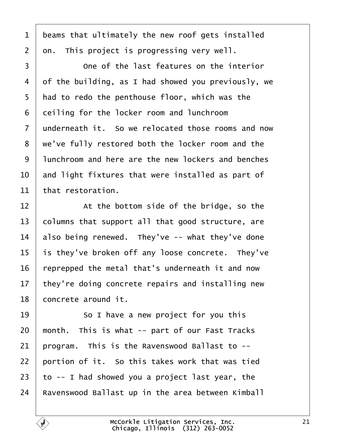- <span id="page-20-0"></span>1 beams that ultimately the new roof gets installed
- 2 dn. This project is progressing very well.
- 3 **Come of the last features on the interior** 4 of the building, as I had showed you previously, we 5 had to redo the penthouse floor, which was the 6 deiling for the locker room and lunchroom 7 underneath it. So we relocated those rooms and now 8 we've fully restored both the locker room and the ·9· ·lunchroom and here are the new lockers and benches 10 and light fixtures that were installed as part of 11 that restoration.  $12$   $\parallel$  At the bottom side of the bridge, so the 13 columns that support all that good structure, are 14 also being renewed. They've -- what they've done 15 is they've broken off any loose concrete. They've 16 reprepped the metal that's underneath it and now 17 they're doing concrete repairs and installing new 18 concrete around it.  $19$   $\phantom{1}$  So I have a new project for you this 20 month. This is what -- part of our Fast Tracks 21 program. This is the Ravenswood Ballast to --22 bortion of it. So this takes work that was tied
- 23  $\pm$  to -- I had showed you a project last year, the
- 24 Ravenswood Ballast up in the area between Kimball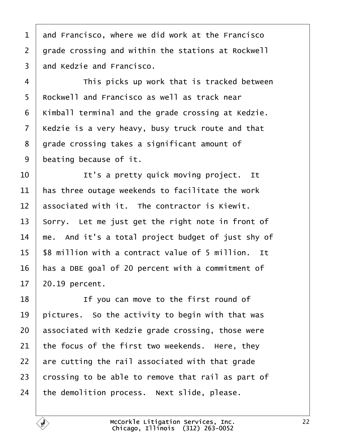<span id="page-21-0"></span>

| 1              | and Francisco, where we did work at the Francisco  |
|----------------|----------------------------------------------------|
| $\overline{2}$ | grade crossing and within the stations at Rockwell |
| 3              | and Kedzie and Francisco.                          |
| 4              | This picks up work that is tracked between         |
| 5              | Rockwell and Francisco as well as track near       |
| 6              | Kimball terminal and the grade crossing at Kedzie. |
| 7              | Kedzie is a very heavy, busy truck route and that  |
| 8              | grade crossing takes a significant amount of       |
| 9              | beating because of it.                             |
| 10             | It's a pretty quick moving project. It             |
| 11             | has three outage weekends to facilitate the work   |
| 12             | associated with it. The contractor is Kiewit.      |
| 13             | Sorry. Let me just get the right note in front of  |
| 14             | me. And it's a total project budget of just shy of |
| 15             | \$8 million with a contract value of 5 million. It |
| 16             | has a DBE goal of 20 percent with a commitment of  |
| 17             | 20.19 percent.                                     |
| 18             | If you can move to the first round of              |
| 19             | pictures. So the activity to begin with that was   |
| 20             | associated with Kedzie grade crossing, those were  |
| 21             | the focus of the first two weekends. Here, they    |
| 22             | are cutting the rail associated with that grade    |
| 23             | crossing to be able to remove that rail as part of |
| 24             | the demolition process. Next slide, please.        |
|                |                                                    |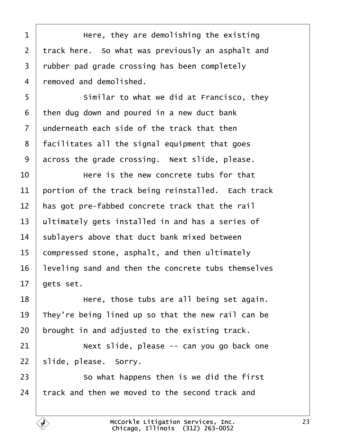<span id="page-22-0"></span>

| 1              | Here, they are demolishing the existing             |
|----------------|-----------------------------------------------------|
| $\overline{2}$ | track here. So what was previously an asphalt and   |
| 3              | rubber pad grade crossing has been completely       |
| 4              | removed and demolished.                             |
| 5              | Similar to what we did at Francisco, they           |
| 6              | then dug down and poured in a new duct bank         |
| $\overline{7}$ | underneath each side of the track that then         |
| 8              | facilitates all the signal equipment that goes      |
| 9              | across the grade crossing. Next slide, please.      |
| 10             | Here is the new concrete tubs for that              |
| 11             | portion of the track being reinstalled. Each track  |
| 12             | has got pre-fabbed concrete track that the rail     |
| 13             | ultimately gets installed in and has a series of    |
| 14             | sublayers above that duct bank mixed between        |
| 15             | compressed stone, asphalt, and then ultimately      |
| 16             | leveling sand and then the concrete tubs themselves |
| 17             | gets set.                                           |
| 18             | Here, those tubs are all being set again.           |
| 19             | They're being lined up so that the new rail can be  |
| 20             | brought in and adjusted to the existing track.      |
| 21             | Next slide, please -- can you go back one           |
| 22             | slide, please. Sorry.                               |
| 23             | So what happens then is we did the first            |
| 24             | track and then we moved to the second track and     |
|                |                                                     |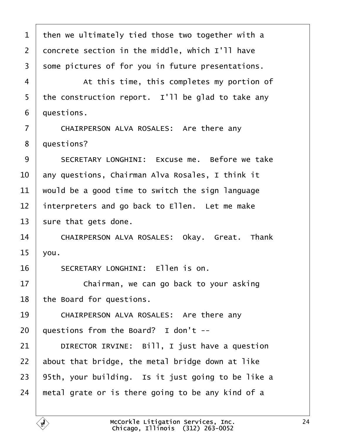<span id="page-23-0"></span>

| $\mathbf 1$    | then we ultimately tied those two together with a  |
|----------------|----------------------------------------------------|
| $\overline{2}$ | doncrete section in the middle, which I'll have    |
| 3              | some pictures of for you in future presentations.  |
| 4              | At this time, this completes my portion of         |
| 5              | the construction report. I'll be glad to take any  |
| 6              | duestions.                                         |
| $\overline{7}$ | CHAIRPERSON ALVA ROSALES: Are there any            |
| 8              | questions?                                         |
| 9              | SECRETARY LONGHINI: Excuse me. Before we take      |
| 10             | any questions, Chairman Alva Rosales, I think it   |
| 11             | would be a good time to switch the sign language   |
| 12             | interpreters and go back to Ellen. Let me make     |
| 13             | sure that gets done.                               |
| 14             | CHAIRPERSON ALVA ROSALES: Okay. Great. Thank       |
| 15             | you.                                               |
| 16             | <b>SECRETARY LONGHINI: Ellen is on.</b>            |
| 17             | Chairman, we can go back to your asking            |
| 18             | the Board for questions.                           |
| 19             | CHAIRPERSON ALVA ROSALES: Are there any            |
| 20             | questions from the Board? I don't --               |
| 21             | DIRECTOR IRVINE: Bill, I just have a question      |
| 22             | about that bridge, the metal bridge down at like   |
| 23             | 95th, your building. Is it just going to be like a |
| 24             | metal grate or is there going to be any kind of a  |
|                |                                                    |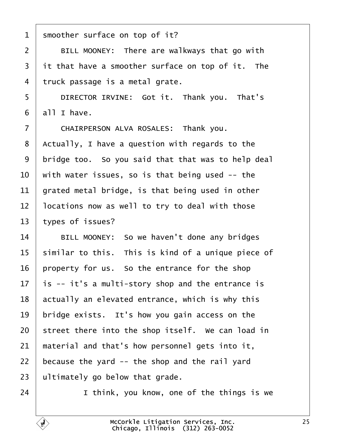<span id="page-24-0"></span>

| 1              | smoother surface on top of it?                     |
|----------------|----------------------------------------------------|
| 2              | BILL MOONEY: There are walkways that go with       |
| 3              | it that have a smoother surface on top of it. The  |
| 4              | truck passage is a metal grate.                    |
| 5              | DIRECTOR IRVINE: Got it. Thank you. That's         |
| 6              | all I have.                                        |
| $\overline{7}$ | CHAIRPERSON ALVA ROSALES: Thank you.               |
| 8              | Actually, I have a question with regards to the    |
| 9              | bridge too. So you said that that was to help deal |
| 10             | with water issues, so is that being used -- the    |
| 11             | grated metal bridge, is that being used in other   |
| 12             | locations now as well to try to deal with those    |
| 13             | types of issues?                                   |
| 14             | BILL MOONEY: So we haven't done any bridges        |
| 15             | similar to this. This is kind of a unique piece of |
| 16             | property for us. So the entrance for the shop      |
| 17             | is -- it's a multi-story shop and the entrance is  |
| 18             | actually an elevated entrance, which is why this   |
| 19             | bridge exists. It's how you gain access on the     |
| 20             | street there into the shop itself. We can load in  |
| 21             | material and that's how personnel gets into it,    |
| 22             | because the yard -- the shop and the rail yard     |
| 23             | ultimately go below that grade.                    |
| 24             | I think, you know, one of the things is we         |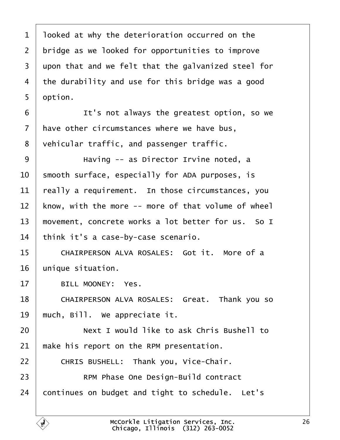<span id="page-25-0"></span>

| 1              | Iboked at why the deterioration occurred on the     |
|----------------|-----------------------------------------------------|
| $\overline{2}$ | bridge as we looked for opportunities to improve    |
| 3              | upon that and we felt that the galvanized steel for |
| 4              | the durability and use for this bridge was a good   |
| 5              | option.                                             |
| 6              | It's not always the greatest option, so we          |
| 7              | have other circumstances where we have bus,         |
| 8              | vehicular traffic, and passenger traffic.           |
| 9              | Having -- as Director Irvine noted, a               |
| 10             | smooth surface, especially for ADA purposes, is     |
| 11             | really a requirement. In those circumstances, you   |
| 12             | know, with the more -- more of that volume of wheel |
| 13             | movement, concrete works a lot better for us. So I  |
| 14             | think it's a case-by-case scenario.                 |
| 15             | CHAIRPERSON ALVA ROSALES: Got it. More of a         |
| 16             | unique situation.                                   |
| 17             | <b>BILL MOONEY: Yes.</b>                            |
| 18             | CHAIRPERSON ALVA ROSALES: Great. Thank yo           |
| 19             | much, Bill. We appreciate it.                       |
| 20             | Next I would like to ask Chris Bushell to           |
| 21             | make his report on the RPM presentation.            |
| 22             | CHRIS BUSHELL: Thank you, Vice-Chair.               |
| 23             | <b>RPM Phase One Design-Build contract</b>          |
| 24             | continues on budget and tight to schedule. Let's    |
|                |                                                     |

Г

you so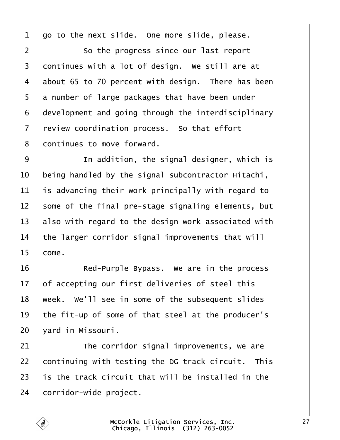<span id="page-26-0"></span>1 go to the next slide. One more slide, please. 2 **So the progress since our last report** 3 dontinues with a lot of design. We still are at 4 about 65 to 70 percent with design. There has been 5 a number of large packages that have been under 6 development and going through the interdisciplinary 7 review coordination process. So that effort 8 dontinues to move forward. 9 | In addition, the signal designer, which is 10 being handled by the signal subcontractor Hitachi, 11 is advancing their work principally with regard to 12 some of the final pre-stage signaling elements, but 13 also with regard to the design work associated with 14 the larger corridor signal improvements that will  $15$  come. 16 **Red-Purple Bypass.** We are in the process 17 bf accepting our first deliveries of steel this 18 week. We'll see in some of the subsequent slides 19 the fit-up of some of that steel at the producer's 20 vard in Missouri.  $21$  The corridor signal improvements, we are 22 continuing with testing the DG track circuit. This 23 is the track circuit that will be installed in the 24 corridor-wide project.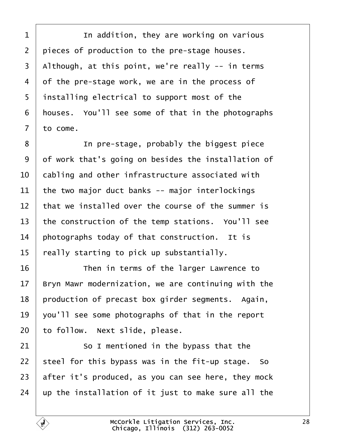<span id="page-27-0"></span> $\frac{1}{1}$  In addition, they are working on various 2 pieces of production to the pre-stage houses. 3 Although, at this point, we're really -- in terms 4 of the pre-stage work, we are in the process of 5 installing electrical to support most of the 6 houses. You'll see some of that in the photographs 7 to come. 8 **I** In pre-stage, probably the biggest piece 9 of work that's going on besides the installation of 10 **cabling and other infrastructure associated with** 11 the two major duct banks -- major interlockings 12 that we installed over the course of the summer is 13 the construction of the temp stations. You'll see 14 photographs today of that construction. It is 15 really starting to pick up substantially. 16 **Then in terms of the larger Lawrence to** 17 Bryn Mawr modernization, we are continuing with the 18 production of precast box girder segments. Again, 19  $\sqrt{ }$  you'll see some photographs of that in the report 20 to follow. Next slide, please. 21 **So I mentioned in the bypass that the** 22 steel for this bypass was in the fit-up stage. So 23 after it's produced, as you can see here, they mock 24  $\mu$  p the installation of it just to make sure all the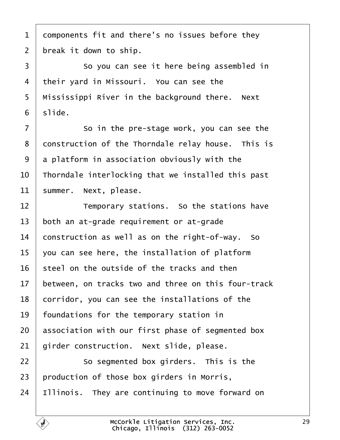<span id="page-28-0"></span>1 domponents fit and there's no issues before they 2 break it down to ship. 3 **So you can see it here being assembled in** 4 their yard in Missouri. You can see the 5 Mississippi River in the background there. Next 6 slide.  $7 \mid$  So in the pre-stage work, you can see the 8 donstruction of the Thorndale relay house. This is 9 a platform in association obviously with the 10 Thorndale interlocking that we installed this past 11 summer. Next, please. 12 **Temporary stations.** So the stations have 13 both an at-grade requirement or at-grade 14 **construction as well as on the right-of-way.** So 15 you can see here, the installation of platform 16 steel on the outside of the tracks and then 17 between, on tracks two and three on this four-track 18 corridor, you can see the installations of the 19 foundations for the temporary station in 20 **association with our first phase of segmented box** 21 girder construction. Next slide, please.  $22$   $\sim$  So segmented box girders. This is the 23 production of those box girders in Morris, 24 Illinois. They are continuing to move forward on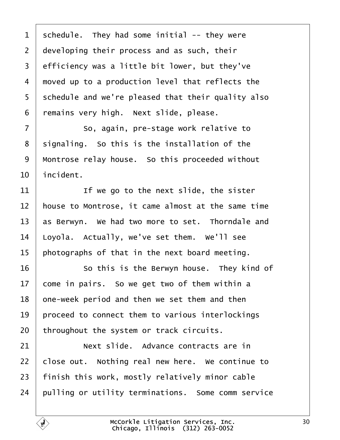<span id="page-29-0"></span>

| 1              | schedule. They had some initial -- they were       |
|----------------|----------------------------------------------------|
| $\overline{2}$ | developing their process and as such, their        |
| 3              | efficiency was a little bit lower, but they've     |
| 4              | moved up to a production level that reflects the   |
| 5              | schedule and we're pleased that their quality also |
| 6              | remains very high. Next slide, please.             |
| $\overline{7}$ | So, again, pre-stage work relative to              |
| 8              | signaling. So this is the installation of the      |
| 9              | Montrose relay house. So this proceeded without    |
| 10             | incident.                                          |
| 11             | If we go to the next slide, the sister             |
| 12             | house to Montrose, it came almost at the same time |
| 13             | as Berwyn. We had two more to set. Thorndale and   |
| 14             | Loyola. Actually, we've set them. We'll see        |
| 15             | photographs of that in the next board meeting.     |
| 16             | So this is the Berwyn house. They kind of          |
| 17             | come in pairs. So we get two of them within a      |
| 18             | one-week period and then we set them and then      |
| 19             | proceed to connect them to various interlockings   |
| 20             | throughout the system or track circuits.           |
| 21             | Next slide. Advance contracts are in               |
| 22             | close out. Nothing real new here. We continue to   |
| 23             | finish this work, mostly relatively minor cable    |
| 24             | pulling or utility terminations. Some comm service |
|                |                                                    |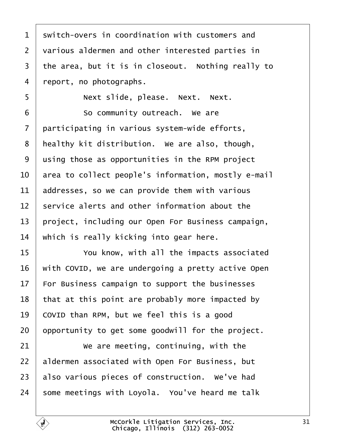<span id="page-30-0"></span>

| 1  | switch-overs in coordination with customers and     |
|----|-----------------------------------------------------|
| 2  | various aldermen and other interested parties in    |
| 3  | the area, but it is in closeout. Nothing really to  |
| 4  | report, no photographs.                             |
| 5  | Next slide, please. Next. Next.                     |
| 6  | So community outreach. We are                       |
| 7  | participating in various system-wide efforts,       |
| 8  | healthy kit distribution. We are also, though,      |
| 9  | using those as opportunities in the RPM project     |
| 10 | area to collect people's information, mostly e-mail |
| 11 | addresses, so we can provide them with various      |
| 12 | service alerts and other information about the      |
| 13 | project, including our Open For Business campaign,  |
| 14 | which is really kicking into gear here.             |
| 15 | You know, with all the impacts associated           |
| 16 | with COVID, we are undergoing a pretty active Open  |
| 17 | For Business campaign to support the businesses     |
| 18 | that at this point are probably more impacted by    |
| 19 | COVID than RPM, but we feel this is a good          |
| 20 | opportunity to get some goodwill for the project.   |
| 21 | We are meeting, continuing, with the                |
| 22 | aldermen associated with Open For Business, but     |
| 23 | also various pieces of construction. We've had      |
| 24 | some meetings with Loyola. You've heard me talk     |
|    |                                                     |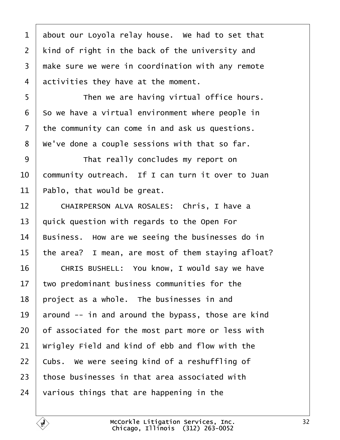<span id="page-31-0"></span>

| 1              | about our Loyola relay house. We had to set that   |
|----------------|----------------------------------------------------|
| $\overline{2}$ | kind of right in the back of the university and    |
| 3              | make sure we were in coordination with any remote  |
| 4              | activities they have at the moment.                |
| 5              | Then we are having virtual office hours.           |
| 6              | So we have a virtual environment where people in   |
| 7              | the community can come in and ask us questions.    |
| 8              | We've done a couple sessions with that so far.     |
| 9              | That really concludes my report on                 |
| 10             | community outreach. If I can turn it over to Juan  |
| 11             | Pablo, that would be great.                        |
| 12             | CHAIRPERSON ALVA ROSALES: Chris, I have a          |
| 13             | quick question with regards to the Open For        |
| 14             | Business. How are we seeing the businesses do in   |
| 15             | the area? I mean, are most of them staying afloat? |
| 16             | CHRIS BUSHELL: You know, I would say we have       |
| 17             | two predominant business communities for the       |
| 18             | project as a whole. The businesses in and          |
| 19             | around -- in and around the bypass, those are kind |
| 20             | of associated for the most part more or less with  |
| 21             | Wrigley Field and kind of ebb and flow with the    |
| 22             | Cubs. We were seeing kind of a reshuffling of      |
| 23             | those businesses in that area associated with      |
| 24             | various things that are happening in the           |
|                |                                                    |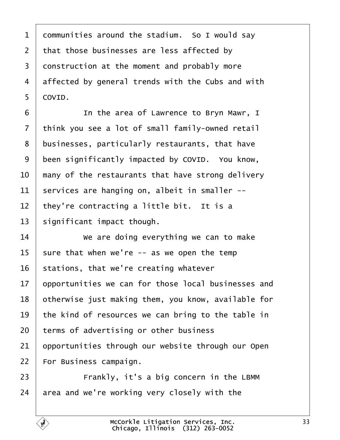<span id="page-32-0"></span>

| 1               | dommunities around the stadium. So I would say      |
|-----------------|-----------------------------------------------------|
| $\overline{2}$  | that those businesses are less affected by          |
| 3               | donstruction at the moment and probably more        |
| 4               | affected by general trends with the Cubs and with   |
| 5               | COVID.                                              |
| 6               | In the area of Lawrence to Bryn Mawr, I             |
| $\overline{7}$  | think you see a lot of small family-owned retail    |
| 8               | businesses, particularly restaurants, that have     |
| 9               | been significantly impacted by COVID. You know,     |
| 10              | many of the restaurants that have strong delivery   |
| 11              | services are hanging on, albeit in smaller --       |
| 12 <sub>2</sub> | they're contracting a little bit. It is a           |
| 13              | significant impact though.                          |
| 14              | We are doing everything we can to make              |
| 15              | sure that when we're -- as we open the temp         |
| 16              | stations, that we're creating whatever              |
| 17              | opportunities we can for those local businesses and |
| 18              | otherwise just making them, you know, available for |
| 19              | the kind of resources we can bring to the table in  |
| 20              | terms of advertising or other business              |
| 21              | opportunities through our website through our Open  |
| 22              | For Business campaign.                              |
| 23              | Frankly, it's a big concern in the LBMM             |
| 24              | area and we're working very closely with the        |
|                 |                                                     |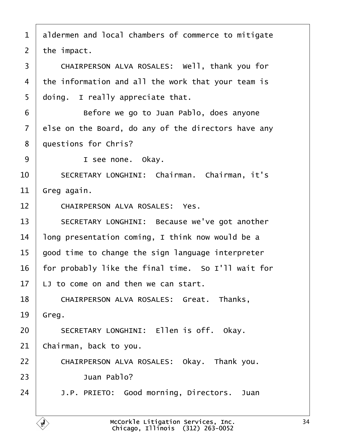<span id="page-33-0"></span>

| 1              | aldermen and local chambers of commerce to mitigate |
|----------------|-----------------------------------------------------|
| 2              | the impact.                                         |
| 3              | CHAIRPERSON ALVA ROSALES: Well, thank you for       |
| $\overline{4}$ | the information and all the work that your team is  |
| 5              | doing. I really appreciate that.                    |
| 6              | Before we go to Juan Pablo, does anyone             |
| $\overline{7}$ | else on the Board, do any of the directors have any |
| 8              | duestions for Chris?                                |
| 9              | I see none. Okay.                                   |
| 10             | SECRETARY LONGHINI: Chairman. Chairman, it's        |
| 11             | Greg again.                                         |
| 12             | <b>CHAIRPERSON ALVA ROSALES: Yes.</b>               |
| 13             | SECRETARY LONGHINI: Because we've got another       |
| 14             | long presentation coming, I think now would be a    |
| 15             | good time to change the sign language interpreter   |
| 16             | for probably like the final time. So I'll wait for  |
| 17             | LJ to come on and then we can start.                |
| 18             | CHAIRPERSON ALVA ROSALES: Great. Thanks,            |
| 19             | Greg.                                               |
| 20             | SECRETARY LONGHINI: Ellen is off. Okay.             |
| 21             | Chairman, back to you.                              |
| 22             | CHAIRPERSON ALVA ROSALES: Okay. Thank you.          |
| 23             | Juan Pablo?                                         |
| 24             | J.P. PRIETO: Good morning, Directors. Juan          |
|                |                                                     |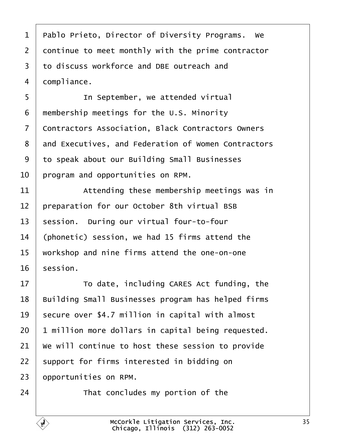- <span id="page-34-0"></span>1 Pablo Prieto, Director of Diversity Programs. We
- 2 dontinue to meet monthly with the prime contractor
- ·3· ·to discuss workforce and DBE outreach and
- 4 dompliance.
- 5 **I** In September, we attended virtual
- 6 membership meetings for the U.S. Minority
- 7 Contractors Association, Black Contractors Owners
- 8 and Executives, and Federation of Women Contractors
- 9 to speak about our Building Small Businesses
- 10 program and opportunities on RPM.
- 11 **Attending these membership meetings was in**
- 12 preparation for our October 8th virtual BSB
- 13 session. During our virtual four-to-four
- 14 (phonetic) session, we had 15 firms attend the
- 15 workshop and nine firms attend the one-on-one
- 16 session.
- 17 **To date, including CARES Act funding, the**
- 18 Building Small Businesses program has helped firms
- 19 secure over \$4.7 million in capital with almost
- 20 <sup>1</sup> million more dollars in capital being requested.
- 21 We will continue to host these session to provide
- 22 support for firms interested in bidding on
- 23 **opportunities on RPM.**
- $24$   $\parallel$  That concludes my portion of the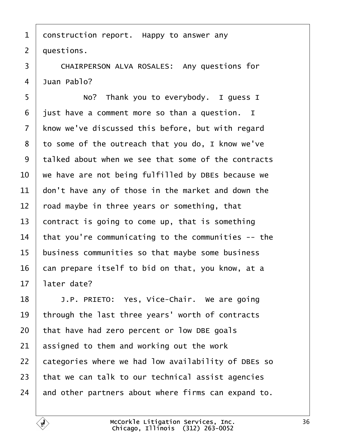- <span id="page-35-0"></span>1 donstruction report. Happy to answer any
- 2 duestions.

3 | CHAIRPERSON ALVA ROSALES: Any questions for

- 4 Juan Pablo?
- 5 | No? Thank you to everybody. I guess I
- 6 just have a comment more so than a question. I
- 7 know we've discussed this before, but with regard
- 8 to some of the outreach that you do, I know we've
- ·9· ·talked about when we see that some of the contracts
- 10 we have are not being fulfilled by DBEs because we
- 11 don't have any of those in the market and down the
- 12 road maybe in three years or something, that
- 13 contract is going to come up, that is something
- 14 that you're communicating to the communities -- the
- 15 business communities so that maybe some business
- 16 can prepare itself to bid on that, you know, at a
- 17 later date?
- 18 | J.P. PRIETO: Yes, Vice-Chair. We are going
- 19 through the last three years' worth of contracts
- 20 that have had zero percent or low DBE goals
- 21 assigned to them and working out the work
- 22 categories where we had low availability of DBEs so
- 23 that we can talk to our technical assist agencies
- 24 and other partners about where firms can expand to.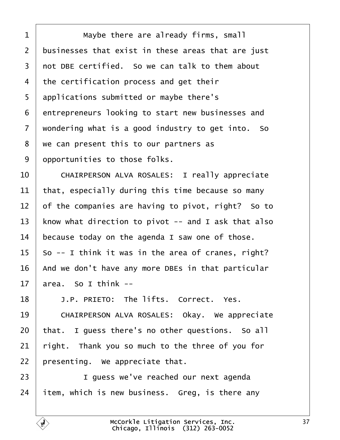<span id="page-36-0"></span>

| 1  | Maybe there are already firms, small                 |
|----|------------------------------------------------------|
| 2  | businesses that exist in these areas that are just   |
| 3  | not DBE certified. So we can talk to them about      |
| 4  | the certification process and get their              |
| 5  | applications submitted or maybe there's              |
| 6  | entrepreneurs looking to start new businesses and    |
| 7  | wondering what is a good industry to get into. So    |
| 8  | we can present this to our partners as               |
| 9  | opportunities to those folks.                        |
| 10 | <b>CHAIRPERSON ALVA ROSALES: I really appreciate</b> |
| 11 | that, especially during this time because so many    |
| 12 | of the companies are having to pivot, right? So to   |
| 13 | know what direction to pivot -- and I ask that also  |
| 14 | because today on the agenda I saw one of those.      |
| 15 | So -- I think it was in the area of cranes, right?   |
| 16 | And we don't have any more DBEs in that particular   |
| 17 | area. So I think --                                  |
| 18 | J.P. PRIETO: The lifts. Correct. Yes.                |
| 19 | CHAIRPERSON ALVA ROSALES: Okay. We appreciate        |
| 20 | that. I guess there's no other questions. So all     |
| 21 | right. Thank you so much to the three of you for     |
| 22 | presenting. We appreciate that.                      |
| 23 | I guess we've reached our next agenda                |
|    |                                                      |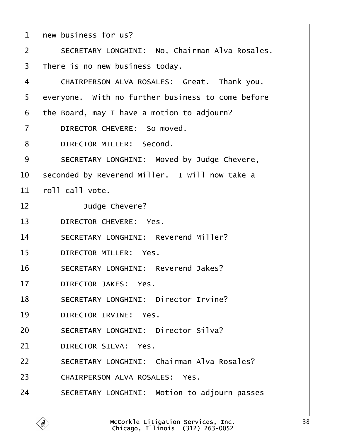<span id="page-37-0"></span>

| 1  | new business for us?                              |
|----|---------------------------------------------------|
| 2  | SECRETARY LONGHINI: No, Chairman Alva Rosales.    |
| 3  | There is no new business today.                   |
| 4  | CHAIRPERSON ALVA ROSALES: Great. Thank you,       |
| 5  | everyone. With no further business to come before |
| 6  | the Board, may I have a motion to adjourn?        |
| 7  | DIRECTOR CHEVERE: So moved.                       |
| 8  | DIRECTOR MILLER: Second.                          |
| 9  | SECRETARY LONGHINI: Moved by Judge Chevere,       |
| 10 | seconded by Reverend Miller. I will now take a    |
| 11 | roll call vote.                                   |
| 12 | Judge Chevere?                                    |
| 13 | DIRECTOR CHEVERE: Yes.                            |
| 14 | <b>SECRETARY LONGHINI: Reverend Miller?</b>       |
| 15 | <b>DIRECTOR MILLER: Yes.</b>                      |
| 16 | <b>SECRETARY LONGHINI: Reverend Jakes?</b>        |
| 17 | <b>DIRECTOR JAKES: Yes.</b>                       |
| 18 | <b>SECRETARY LONGHINI: Director Irvine?</b>       |
| 19 | DIRECTOR IRVINE: Yes.                             |
| 20 | <b>SECRETARY LONGHINI: Director Silva?</b>        |
| 21 | <b>DIRECTOR SILVA: Yes.</b>                       |
| 22 | <b>SECRETARY LONGHINI: Chairman Alva Rosales?</b> |
| 23 | <b>CHAIRPERSON ALVA ROSALES: Yes.</b>             |
| 24 | SECRETARY LONGHINI: Motion to adjourn passes      |
|    |                                                   |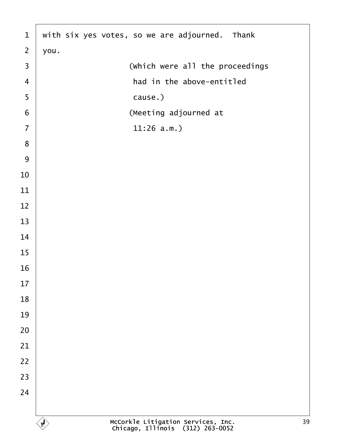<span id="page-38-0"></span>

| $\mathbf{1}$     | with six yes votes, so we are adjourned. Thank |
|------------------|------------------------------------------------|
| $\overline{2}$   | you.                                           |
| $\mathfrak{S}$   | (Which were all the proceedings                |
| $\overline{4}$   | had in the above-entitled                      |
| $\sqrt{5}$       | cause.)                                        |
| $\boldsymbol{6}$ | (Meeting adjourned at                          |
| $\overline{7}$   | $11:26$ a.m.)                                  |
| $\bf 8$          |                                                |
| $\boldsymbol{9}$ |                                                |
| 10               |                                                |
| 11               |                                                |
| 12               |                                                |
| 13               |                                                |
| 14               |                                                |
| 15               |                                                |
| 16               |                                                |
| 17               |                                                |
| 18               |                                                |
| 19               |                                                |
| 20               |                                                |
| 21               |                                                |
| 22               |                                                |
| 23               |                                                |
| 24               |                                                |
|                  |                                                |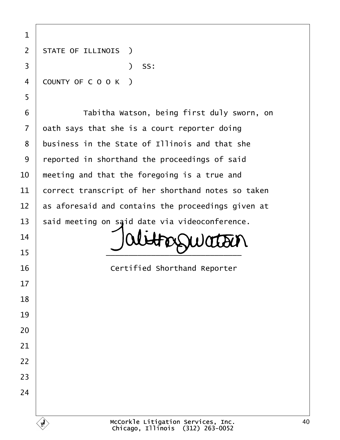| 1              |                                                    |
|----------------|----------------------------------------------------|
| $\overline{2}$ | <b>STATE OF ILLINOIS</b> )                         |
| 3              | ) SS:                                              |
| 4              | COUNTY OF COOK)                                    |
| 5              |                                                    |
| 6              | Tabitha Watson, being first duly sworn, on         |
| $\overline{7}$ | dath says that she is a court reporter doing       |
| 8              | business in the State of Illinois and that she     |
| 9              | reported in shorthand the proceedings of said      |
| 10             | meeting and that the foregoing is a true and       |
| 11             | correct transcript of her shorthand notes so taken |
| 12             | as aforesaid and contains the proceedings given at |
| 13             | said meeting on said date via videoconference.     |
| 14             |                                                    |
| 15             |                                                    |
| 16             | <b>Certified Shorthand Reporter</b>                |
| 17             |                                                    |
| 18             |                                                    |
| 19             |                                                    |
| 20             |                                                    |
| 21             |                                                    |
| 22             |                                                    |
| 23             |                                                    |
| 24             |                                                    |
|                |                                                    |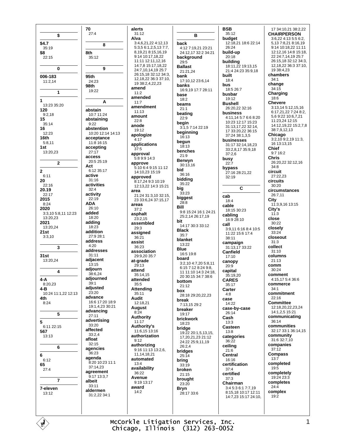\$ \$4.7  $35:19$ \$8  $22:15$  $\bf{0}$ 006-183  $11:2.14$  $\mathbf{1}$  $\overline{1}$ 13:23 35:20 120  $9:2.18$ 15  $35.14$ 16  $12.23$ 16th  $5:8.11$  $1st$  $13:20.23$  $\overline{\mathbf{z}}$  $\bf{2}$  $6:11$ 20  $22:16$ 20.19  $22.17$ 2015  $8.24$ 2020 3:3.10 5:8.11 12:23 13:20.23 2021 13:20,24  $21st$  $3:3,10$  $\overline{\mathbf{3}}$  $31st$  $13.2024$  $\overline{4}$  $4 - A$  $8.2023$  $4-B$ 10:24 11:1,22 12:13 4th  $8.24$ 5 5 6:11 22:15 567 13:13 6 6  $6.12$ 65  $27:4$  $\overline{7}$ 7-eleven  $13.12$ 

70  $27:4$  $\mathbf{a}$ 8th  $35:12$ 9 95th 24:23 98th 19:22 A abstain 10:7 11:24 abstaining  $9.22$ abstention 10:20 12:14 14:13 acceptance 11:8 16:15 accepting  $27.17$ access  $20:525:19$ Act  $6:1235:17$ active  $31:16$ activities  $32:4$ activity 22:19 **ADA** 26:10 added 18:20 adding 18:23 addition 27:9 28:1 address  $4.20$ addresses  $31:11$ adjacent 13:15 adjourn 38:6,24 adjourned  $39.1$ adiusted  $23.20$ advance 16:6 17:20 18:9 19:1,4,23 30:21 advancing  $27:11$ advertising 33:20 affected 33:2.4 afloat  $32:15$ agencies  $36.23$ agenda 8:20 10:23 11:1 37:14.23 agreement 9:17 13:3.7 albeit  $33:11$ aldermen 31:2.22 34:1

alerts  $31:12$ Alva 3:4,6,21,22 4:12,13  $5:3.56:1.2.5.13.7.7$ 8 19 21 8 15 16 19  $9.1410.171822$ 11:11 12:11,12,16 14:7,8 15:17,18,22 24.7 10 14 19 25.7 26:15.18 32:12 34:3. 12, 18, 22 36: 3 37: 10, 19 38:2,4,22,23 amend  $11:2$ amended  $11:7$ amendment  $11:13$ amount  $22:8$ anode  $19.12$ apologize  $4.17$ applications  $37.5$ approval 5:8 9:9 14:3 approve 5:10 6:4 9:15 11:12 14:10,23 15:19 approved 8:17.24 9:3 10:19 12:13,22 14:3 15:21 area 21:24 31:3,10 32:15. 23 33:6,24 37:15,17 areas  $37:2$ asphalt  $23:2,15$ assembled  $29:3$ assigned  $36.21$ assist 36:23 association 29:9.20.35:7 at-grade 29:13 attend  $35:14$  15 attended  $35 - 5$ **Attending** 35:11 **Audit**  $12.1821$ August  $8:24$ **Authority**  $11.17$ Authority's 11:6,15 13:16 authorization  $9:12$ authorizing  $9.1611131326$ 11.14.18.21 automated  $13:4$ availability  $36:22$ **Avenue** 9:19 13:17 award  $14:2$ 

B hack 4:12 7:19,21 23:21 24:12,17 32:2 34:21 background  $29:5$ **Rallast** 21:21,24 bank 17:10,12 23:6,14 banks 16:9,19 17:7 28:11 hase  $18:2$ beams  $21:1$ beating  $22.9$ beain 3:1,57:1422:19 beginning  $16:13$ begun  $18:13$ benches  $21:9$ **Berwyn**  $30:13.16$ bid 36:16 bidding 35:22 big  $33.23$ biggest  $28:8$ Rill 9.8 15:24 16:1 24:21 25:2,14 26:17,19 hit 14:17 30:3 33:12 **Black**  $35:7$ hlanket  $13.22$ **Blue** 16:5 19:8 board  $3:2.10$  4:7.20 5:8.11 6:15 7:12 8:24 9:8 11 11:10 14:3 24:18, 20.30:15.34:7.38:6 bottom  $21.12$ box 28:18 29:20.22.23 break 7:13,15 29:2 breaker  $19.17$ brickwork  $18.23$ bridge 19:22 20:1,5,13,15, 17,20,21,23 21:12 24:22 25:9,11,19 26:2,4 bridges  $25.14$ bring  $33:19$ broken  $21:15$ brought  $23.20$ **Bryn**  $28.17336$ 

**BSB**  $35:12$ budget 12:18,21 18:6 22:14 26:24 build-up 20:18 **building**<br>18:11,22 19:13,15 21:4 24:23 35:9,18 **huilt**  $18:4$ hus 18:5 26:7 busbar  $19:12$ **Ruchall** 26:20.22 32:16 business 4:11,14 5:7 6:6 8:20 10:23 12:17 15:23 31:13.17.22 32:14. 17 33:20 22 36:15 37:24 38:1.3.5 husinesses 31:17 32:14.18.23 33:2,8,17 35:9,18  $37:2,6$ busy  $22:7$ bypass 27:16 28:21,22  $32.19$ C. cab 18:4 cable  $18:1530:23$ cabling 16:9 28:10 call 3:9,11 6:16 8:4 10:5 11:22 15:6 17:4 38:11 campaign 31:13,17 33:22 Canfield  $17:10$ canopy  $20.9$ capital  $35:19.20$ **CARES** 35:17 Carter  $4.8$ case 14:22 case-by-case 26:14 Cash  $13:3$ Casteen  $13:8$ categories  $36.22$ ceiling  $21.6$ Central  $16.16$ certification  $37.4$ certified  $37:3$ Chairman  $3:45:36:17:719$ 8:15 18 10:17 12:11 14:7.23 15:17 24:10,

17 34:10.21 38:2.22 **CHAIRPERSON** 3:6.22 4:13 5:5 6:2. 5 13 7 8 21 8 16 19 9:14 10:18.22 11:11 12:12 16 14:8 15:18 22 24 7 14 19 25 7 26:15,18 32:12 34:3, 12, 18, 22 36: 3 37: 10,  $10.38 - 1.23$ chambers  $34:1$ change  $34.15$ Charging  $18:6$ Chevere 3:13,14 5:12,15,16 6:17.21.22 7:24 8:2. 56922106721 11:23.24 12:15  $14.12$  19 22 15:2 7 8 38:7.9.12.13 Chicago 3:2,10 9:2,19 11:3. 16 13:13,15 **Chief**  $9.716.2$ Chris 26:20 22 32:12 16  $34.8$ circuit  $27.22.23$ circuits  $30.20$ circumstances 26:7.11 City 11:3.9.16 13:15 City's  $11:3$ close 30:22 closelv  $33.24$ closeout  $31:3$ collect  $31:10$ columns  $21:13$ comm 30:24 comment 4:15.17 5:4 36:6 commerce  $34:1$ commitment  $22:16$ Committee 12:18 20 22 23 24 14:1.2.5 15:21 communicating  $36:14$ communities 32:17 33:1 36:14 15 community 31:6 32:7.10 companies  $37:12$ **Compass**  $13.7$ completed  $19:5$ completely 19:24 23:3 completes  $24:4$ complex  $19.2$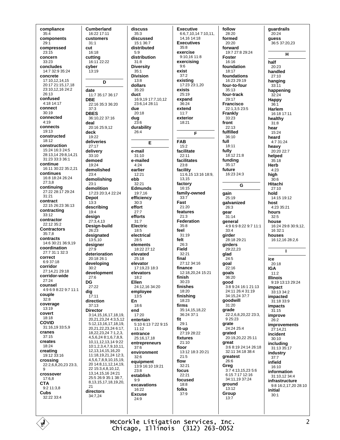compliance  $35:4$ components  $29.1$ compressed  $23.15$ concern 33:23 concludes 14.7 32.9 35.24 concrete 17:10,12,14,15 20:17 21:15,17,18 23:10.12.16 24:2  $26.13$ confused  $4.1814.17$ connect  $30:19$ connected  $4:19$ connects  $19.13$ constructed 18:12 construction 15:24 16:3 24:5 28:13.14 29:8.14.21 31:23.33:3.36:1 continue 16:11 30:22 35:2,21 continues 16:8 18:24 26:24  $27:38$ continuing 27:22 28:17 29:24  $31:21$ contract 22:15 26:23 36:13 contracting  $33.12$ contractor 22:12 35:2 **Contractors**  $35:7.8$ contracts 14:6 30:21 36:9,19 coordination 27:7.31:1.32:3 correct  $6.9.37.18$ corridor 27:14,21 29:18 corridor-wide  $27:24$ counsel 4:9 6:9 8:22 9:7 11:1 couple  $32:8$ coverage  $13.19$ covert 18:18 **COVID** 31:16,19 33:5,9 cranes  $37.15$ creates 18:24 creating 19:12 33:16 crossing 22:2,6,8,20,23 23:3, 9 crossover 17:6,8 **CTA** 9:2 11:3,8 Cubs 32:22 33:4

**Cumberland** 16:22 17:11 customers  $31:1$ cut 16:18 cutting 16:11 22:22 cyber  $13.19$ D date 11:7 35:17 36:17 **DBE** 22:16 35:3 36:20  $37:3$ **DRES** 36:10.22 37:16 deal 20:16 25:9.12 deck  $19.22$ deliveries 27:17 delivery 33:10 demoed  $19.24$ demolished  $23:4$ demolishing  $23:1$ demolition 17:23 20:3,4 22:24 Depot  $13:3$ describina  $19.4$ design  $27:3,4,13$ Design-build 26:23 designated  $13:510$ designer  $27.9$ deterioration  $20.18261$ developing  $30:2$ development  $27:6$ DG  $27:22$ dig  $17:11$ direction  $37:13$ **Director** 3:14,15,16,17,18,19, 20,21,23,24 4:3,5,12 5:12,13,16,17,18,19, 20,21,22,23,24 6:17, 18,22,23,24 7:1,2,3, 4,5,6,24 8:1,6,7,8,9, 10, 11, 12, 13, 14 9:22 10:1,2,3,4,7,9,10,11, 12, 13, 14, 15, 16, 20 11:18,19,21,24 12:3, 456789101519 20 14:8,11,12,14,19, 22 15:3 4 8 10 12 13 14 15 16 24 21 25:5 26:9 35:1 38:7 8, 13, 15, 17, 18, 19, 20,  $21$ directors 34:7,24

## discuss  $35:3$ discussed  $15:1.36:7$ distributed  $5.9$ distribution  $31:8$ **Diversity**  $35.1$ **Division** 13:8 dollars 35:20 duct 16:9,19 17:7,10,12 23:6.14 28:11 due  $20.18$ dug  $23.6$ durability  $26:4$ E e-mail  $31:10$ e-mailed  $4.24$ earlier 12:21 ebb  $32:21$ **Edmunds** 19:7.16 efficiency  $30:3$ effort  $27.7$ efforts  $31:7$ Electric 18:5 electrical  $28.5$ elements  $18:22.27:12$ elevated  $25.18$ elevator 17:19,23 18:3 elevators  $18.2$ Ellen 24:12.16 34:20 employee  $13:5$ En  $18:6$ end  $17.20$ entertain 5:10 6:13 7:22 9:15  $11:12$ entrance 25:16 17 18 entrepreneurs  $37:6$ environment  $32.6$ equipment 13:9 16:10 19:21  $23.8$ establish  $9:9$ excavations  $16.22$ **Excuse**  $24:9$

**Executive** 6:6,7,10,14 7:10,11, 14.16 14:18 **Executives**  $35:8$ exercise 9:10,16 11:8 exercising  $Q \cdot G$ exist  $37.2$ **existing**<br>17:23 23:1,20 exists  $25.19$ expand  $36.24$ extend  $11:7$ exterior  $18.21$ F **FAB**  $15:2$ facilitate  $22.11$ facilitates  $23.8$ facility 11:6,15 13:16 18:9, 13 15 factory  $16.15$ family-owned  $33:7$ Fast 21:20 features  $21.3$ Federation  $35.8$ feel  $31:19$ felt  $26.3$ **Field** 32:21 final 27:12 34:16 finance 12:18,20,24 15:21 finish 30:23 finishes 18:20 finishing 18:23 firms 35:14,15,18,22  $36.24.37.1$ fit  $29:1$ fit-up 27:19 28:22 fixtures  $21:10$ floor 13:12 18:3 20:21  $21.5$ flow  $32.21$ focus 22:21 focused 18:8 folks  $37.9$ 

follow 28:20 formed  $20.20$ forward 19.7 27.8 29.24 **Foster** 16:16 foundation  $18.17$ foundations 16:23 29:19 four-to-four 35:13 four-track 29:17 **Francisco** 22:1,3,5 23:5 **Frankly**  $33:23$ front  $22.13$ fulfilled  $36:10$ full  $18.11$ fully 18:12 21:8 funding  $35:17$ future 16:23 24:3 G gain 25:19 qalvanized 26.3 gear 31:14 general  $4:96:98:229:711:1$  $33.4$ girder 28.18.29.21 girders  $29.22.23$ glad  $24.5$ goal 22:16 goals  $36.20$ good 3:8 9:24 16:1 21:13 24:11 26:4 31:19  $34.15$  24  $37.7$ goodwill 31:20 grade  $22:2.6.8.20.22.23:3$  $9.25.23$ grate  $24.2425.4$ grated 20:19.20.22 25:11 great 3.6 8.19 24.14 26.18 32:11 34:18 38:4 greatest 26:6 Greg  $3.74.13152356$  $6.157.1712.16$ 34:11.19 37:24 ground 13:12 Group  $13:7$ 

quardrails 20:24 **auess** 36:5 37:20,23 H half  $20.23$ handled  $27:10$ hanging  $33:11$ happening  $32.24$ **Happy**  $36:1$ **Harlem**  $16.1817.11$ healthy  $31:8$ hear 15:24 heard 4:7 31:24 heavy 20:20 22:7 helped  $35.18$ Herb  $4.23$ high  $30:6$ Hitachi  $27.10$ hold 14:15 19:12 host  $4:2335:21$ hours  $32:5$ house 16:24 29:8 30:9,12, 16 32:1 houses 16:12,16 28:2.6  $\mathbf{I}$ ice  $20:18$ **IGA**  $11:2$ **Illinois** 9.19 13.13 29.24 impact 33:13 34:2 impacted 31:18 33:9 impacts  $31.15$ improve  $26:2$ **improvements**  $27.1421$ incident  $30:10$ includina  $31.133517$ industry  $37.7$ infield 16:10 information  $31.1012344$ infrastructure 9:8 16:2,17,20 28:10 initial  $30:1$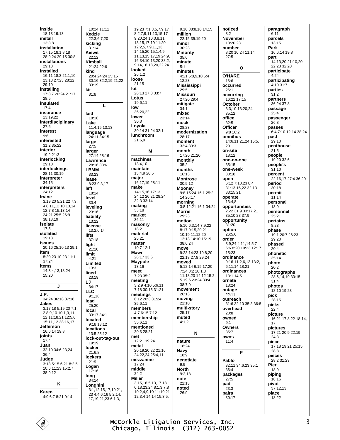inside 18:13 19:13 install  $13:38$ installation 17:15 18:1.8.18 28:9.24.29:15.30:8 installations  $29.18$ installed 16:11 18:3 21:1 10 23:13 27:23 28:12  $29.10$ installing 17:3,7 20:24 21:17  $28:5$ insulated  $17.4$ insurance 13:19,22 interdisciplinary  $27:6$ interest  $9:6$ interested 31:2 35:22 interior 19:2 21:3 interlocking 29:10 interlockings 28:11 30:19 interpreter  $34.15$ interpreters  $24:12$ Irvine 3:19.20 5:21.22 7:3. 4 8:11.12 10:13.14 12:7.8 15:13.14 24:21 25:5 26:9  $38.1810$ isolate  $17:5$ isolated  $19.18$ **issues** 20:16 25:10,13 29:1 item 8:20,23 10:23 11:1  $37:24$ items 14:3.4.13.18.24 15:20  $\mathbf{I}$ J.P. 34:24 36:18 37:18 **Jakes** 3:17.18 5:19.20 7:1. 2 8:9,10 10:1,3,11,  $-12,11,18.21,12.5.6$ 15:11 12 38:16 17 Jefferson 16:6.14 19:8 joints  $17.4$ Juan 32:10 34:6.23.24  $36.4$ Judge 3:13 5:15 6:21 8:2,5 10:6 11:23 15:2,7 38:9,12  $\pmb{\mathsf{K}}$ Karen 4:9 6:7 8:21 9:14

 $10.24$  11.11 **Kedzie** 22:3.6.7.20 kicking  $31.14$ **Kiewit**  $22.12$ Kimball  $21.24226$ kind 20:4 24:24 25:15 30:16 32:2,19,21,22  $33.19$ kit  $31.8$ L laid  $18.16$ Lake 11:4,15 13:13 language  $24.11\,34.15$ large  $27:5$ larger 27:14 28:16 Lawrence  $28.16336$ **LBMM** 33:23 lease 8:23 9:3.17  $left$  $18.14$ level  $30:4$ levelina  $23.16$ liability 13:22 license 13:2.6.14 lifts  $37.18$ light 21:10 limit  $4.21$ Limited  $13:3$ lined 23:19 IJ  $34:17$  $\sqcup$  C  $9:1,18$ load  $25:20$ local  $33.17.34.1$ located 9:18 13:12 **locations**  $13:525:12$ lock-out-tag-out 19:19 locker 21:6.8 lockers  $21:9$ Logan  $17:16$ long  $34:14$ Longhini  $3:1,12,15,17,19,21,$ 23 4:4,6,16 5:2,14, 17, 19, 21, 23 6: 1, 3,

19.23 7:1.3.5.7.9.17 8:2,7,9,11,13,15,17 9:20,24 10:3,8,11, 13, 15, 17, 19 11: 20 12:2,5,7,9,11,13  $14:15,20$  15:1,4,9, 11, 13, 15, 17, 19 24: 9, 16 34 10 13 20 38 2 9,14,16,18,20,22,24 **looked**  $26.12$ loose  $21:15$ lot 26:13.27:3.33:7 Lotus 19:6.11 low 36:20.22 lower  $30.3$ Loyola 30:14 31:24 32:1 lunchroom  $21.69$ M machines  $13:4.10$ maintain  $13:4920:5$ major 16:17.19 28:11 make 14:15,16 17:13 24:12 26:21 28:24 32:3 33:14 making  $33.18$ market 36:11 masonry 18:21 material  $25.21$ matter 10:7 12:1 Mawr 28:17 33:6 **Maypole**  $13:16$ meet 7:23 35:2 meeting 3:2,9 4:10 5:6.11 7:18 30:15 31:21 meetings 6:12 20:3 31:24 35:6.11 members 4:7 6:15 7:12 membership 35:6.11 mentioned 20:3 28:21 met  $12.21$  19.24 metal 20:19.20.22 21:16 24:22,24 25:4,11 mezzanine  $17:24$ middle  $24.2$ **Miller** 3:15,16 5:13,17,18 6:18,23,24 8:1,3,7,8 10:2,4,9,10 11:19,21 12:3,4 14:14 15:3,5,

9,10 38:8,10,14,15 million 22:15 35:19.20 minor  $30.23$ **Minority**  $35.6$ minute  $5.1$ minutes 4:21 5:8,9,10 6:4 12:23 **Mississippi** 29:5 **Missouri** 27:20 29:4 mitigate  $34:1$ mixed  $23:14$ mock  $28.23$ modernization 28:17 moment  $32.433.3$ month 17:20 21:20 monthly  $35.2$ months  $16.13$ **Montrose** 30:9.12 **Mooney**<br>9:8 15:24 16:1 25:2. 14 26:17 morning 3:8 12:21 16:1 34:24 **Morris**  $29.23$ motion 5:10 6:3,14 7:9,22 8:17 9:15.20.21  $10.1911.1220$ 12:13 14:10 15:19 38:6.24 move 9:23 14:23 19:8.20 22.18.27.8.29.24 moved 5:12,14 6:15,17,20 7:24 8:2 10:1,3 11:18,20 14:12 15:2, 5 19:6 23:24 30:4 38:7.9 movement  $26.13$ moving  $22:10$ multi-story 25:17 muted  $4:1.2$  $\overline{\mathsf{N}}$ nature 18:24 Navy  $18:9$ negotiate  $9:9$ **North**  $9:2.18$ note  $22:13$ noted 26:9

noticed  $3:2$ **November**  $13:20.23$ number 8:20 10:24 11:14  $27.5$  $\Omega$ **O'HARE** 16:6 occurred  $26:1$ occurring 16:22 17:15 October 3:3,10 13:20,24  $35.12$ office  $32 - 5$ Officer 9:8 16:2 omnibus 14:6,11,21,24 15:5,  $20$ on-site  $18.12$ one-on-one  $35:15$ one-week  $30.18$ onen 6:12 7:18.23 8:4 31:13,16,22 32:13  $33.15.21$ operate  $13.48$ opportunities 26:2 31:9 33:17,21 35:10.23.37:9 opportunity  $31.20$ option  $26:5.6$ order 3:9.24 4:11.14 5:7 6:6 8:20 10:23 12:17 15:23 ordinance 9:16 11:2.6.13 13:2 6.11.14.18.21 ordinances 13:1 14:5 ornate  $18.24$ outage 22:11 outreach 31:6 32:10 35:3 36:8 overhead  $20.8$ owned  $9.1$ Owners  $35.7$ owns  $11:4$ P Pablo 32:11 34:6,23 35:1  $36.4$ packages  $27:5$ pad 23:3 pairs  $30:17$ 

paragraph  $6:11$ parcels  $13.15$ Park 16:6.14 19:8 part 14:13,20 21:10,20  $22.23.32.20$ participate  $A.24$ participating 4:10 31:7 parties  $31.2$ partners  $36.24.37.8$ passage  $25.4$ passenger  $26.8$ passes 6:4 7:10 12:14 38:24 past  $29.10$ penthouse  $21:5$ people 19:20 32:6 people's  $31:10$ percent 22:16,17 27:4 36:20 period  $30:18$ nermit  $11.14$ personal  $13:9$ personnel  $25.21$ pertains  $8:23$ phase 19:1 20:7 26:23  $29.20$ phased  $20.4$ phonetic  $35:14$ photo  $20:2$ photographs 28:6, 14, 19 30:15  $31:4$ photos 18:10 19:23 pick  $28.15$ picks  $22:4$ picture 16:21 17:8,22 18:14,  $17$ pictures 17:21 20:9 22:19  $24.3$ piece 17:18 19:21 25:15  $28:8$ pieces 28:2 31:23 Pier  $18:9$ piping  $18.16$ pivot 37:12,13 place 18:22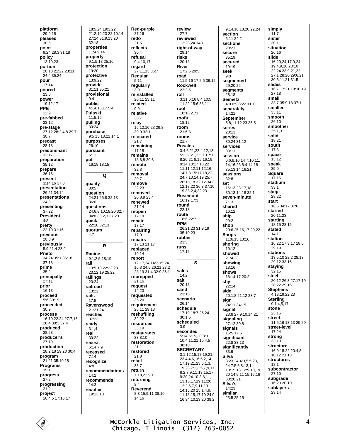platform 29:9.15 pleased  $30.5$ point  $9.2428.331.18$ policy 13:19,23 portion 20:13 21:22 23:11  $24.435.24$ pour  $17:14$ poured  $23.6$ power 19:12.17 PPE  $13.9$ pre-fabbed  $23.12$ pre-stage 27:12 28:2,4,8 29:7  $30:7$ precast  $28.18$ predominant 32:17 preparation  $35.12$ prepare  $36:16$ present 3:14,16 37:8 presentation 26:21 34:14 presentations  $24.3$ presenting  $37:22$ **President**  $4.8$ pretty 22:10 31:16 previous 20:3.9 previously 5:9 21:4 23:2 Prieto 34:24 35:1 36:18  $37:18$ prime  $35.2$ principally  $27:11$ prior 16:13 proceed  $5.630.19$ proceeded  $30:9$ process 16:10 22:24 27:7,16 28:4 30:2 37:4 produced 28:23 producer's  $27.19$ production 28:2,18 29:23 30:4 program 21:21 35:10,18 **Programs**  $35:1$ progress  $27:2$ progressing 21:2 project 16:4,5 17:16,17

18:5.24 19:3.22 21:2,19,23 22:10,14 27:24 31:9,13,20  $32:18$ properties  $11.4914$ property  $9:1,5,18$  25:16 protection  $19.20$ protective 13:9,22 provide 31:11 35:21 provisional  $9:4$ public 4:14.15.17 5:4 Pulaski 11:5,16 pulling  $30.24$ purchase 9:5 13:18,21 14:1 purposes  $26.10$ pursuant  $6:11$ put 16:19 18:15  $\Omega$ quality  $30.5$ question 24:21 25:8 32:13  $36.6$ questions 24:6,8,10,18,20 32:7 34:8 36:2,3 37:20 auick 22:10 32:13 quorum  $4:7$  $\mathbf R$ Racine  $9.1251819$ rail 13:5.10 22:22 23 23:12.19 25:22 railings  $20:24$ railroad  $13.22$ rails  $17:5$ Ravenswood 21:21.24 reached  $37.23$ ready  $3:1,4$ real  $30:22$ recess 6:14 7:9 recessed  $7.14$ recognize  $4.8$ recommendations  $14:2$ recommends  $14.3$ rectifier 19:13.18

Red-purple  $27:16$ redo  $21:5$ reflects  $30.4$ refusal  $9:4,10,17$ regard 27.11 13 36.7 Regular  $5:11$ regularly  $3:9$ reinstalled 20:11 23:11 related  $9:9$ relative  $30:7$ relav 16:12,16,23 29:8 30:9 32:1 relocated  $21:7$ remaining  $17:18$ remains 18:6,8 30:6 remote  $32:3$ removal  $20:7$ remove  $22:23$ removed  $20.89234$ renewed  $21:14$ reopen  $17.19$ repair  $17:17$ repairing  $17.9$ repairs 17:13 21:17 replaced  $19:14$ report 12:17.24 14:7 15:24 16:3 24:5 26:21 27:2 28:19 31:4 32:9 36:1 reprepped  $21:16$ request  $14:23$ requested  $35.20$ requirement 26:11 29:13 reshuffling  $32:22$ resources  $33.19$ restaurants  $33:8.10$ restoration  $21.11$ restored  $21:8$ retail  $33.7$ return 7:18,22 9:11 returning  $8.4$ **Reverend**  $8:315:9.1138:10.$ 14 16

review  $27:7$ reviewed  $12.232414.1$ right-of-way  $29.14$ risks  $20:18$ River  $17.2629.5$ road 11:5,16 17:2,6 36:12 Rockwell  $22:2.5$ roll 3:11 6:16 8:4 10:5 11:22 15:6 38:11 roof  $18.1821.1$ roofs 18:12 room 21:6.8 rooms  $21:7$ **Rosales** 3:4,6,21,22 4:12,13 5:3,5 6:1,2,5,13 7:7, 8.20.21 8:15.16.19 9:14 10:17,18,22 11:11 12:11,12,16 14:7,8 15:17,18,22 24:7,10,14,19 25:7 26:15,18 32:12 34:3, 12, 18, 22 36: 3 37: 10, 19 38:2,4,22,23 **Rosemont**  $16.1917.3$ round  $22:18$ route 18:6 22:7 **RPM** 26:21,23 31:9,19  $35:10.23$ rubber  $23:3$ runs  $17.12$  $\epsilon$ sales  $14.2$ salt  $20:18$ sand  $23.16$ scenario 26:14 schedule 17:19 18:7 26:24  $30.15$ scheduled  $3:9$ seconded 5:14 6:15,20 8:3 10:4 11:21 15:4.5  $38:10$ **SECRETARY** 3:1,12,15,17,19,21, 23 4:4,6,16 5:2,14, 17, 19, 21, 23 6: 1, 3, 19,23 7:1,3,5,7,9,17 8:2,7,9,11,13,15,17 9:20,24 10:3,8,11, 13, 15, 17, 19 11: 20 12:2,5,7,9,11,13 14:15,20 15:1,4,9, 11, 13, 15, 17, 19 24: 9, 16 34:10,13,20 38:2,

9,14,16,18,20,22,24 section 6:11 24:2 sections  $20.21$ secure  $35.19$ secured  $19.19$ seek  $9.8$ segmented 29:20,22 segments  $28.18$ **Seimetz** 4:9 6:9 8:22 11:1 separately  $14.21$ September 5:8.11 12:23 35:5 series 23:13 service  $30.2431.12$ services 33:11 session 6:6.8.10.14 7:10.11. 14 16 23 8 4 14 18 35:13,14,16,21 sessions  $22.8$ set 16:13 23:17,18 30:13,14,18 32:1 seven-minute  $7.13$ shared 16:12 ship  $29.2$ shop 20:6 25:16,17,20,22 **Shops** 11:6,15 13:16 shoring  $19.12$ showed 21:4.23 showing 18:16 shows 18:14,17 20:2 shy  $22.14$ side 20:1.8 21:12 23:7 sign 24:11 34:15 signal 23:8 27:9,10,14,21 signaling  $27.12.30.8$ signals 16:5 17:5 significant  $22.8.33.13$ significantly  $33:9$ Silva 3:23,24 4:3,5 5:23, 24 7:5 6 8:13 14 10:15.16 12:9.10.19 20 14:9.11 15:15.16  $38.2021$ Silva's 14:23 similar 23:5 25:15

simply  $11:7$ sister  $30:11$ situation  $26.16$ slide 16:20,24 17:9,24 19:4,9,16 20:10 22:24 23:9,21,22 27:1 28:20 29:6 21 30:6 11 21 31:5 slides 16:7 17:21 18:10.19  $27.18$ small 33:7 35:9,18 37:1 smaller  $33.11$ smooth  $26:10$ smoother  $25.13$ solid  $18.21$ south  $17:3$ space  $13.12$ speak  $35:9$ **Square**  $17:16$ stadium  $33.1$ stage  $28:22$ start 16:5 34:17 37:6 started 20:11.23 starting 18:15 28:15 stated  $14.11$ station 16:22 17:3,17 18:6 29:19 **stations** 13:5 10 22:2 28:13 29:12 33:16 staying  $32:15$ steel 20:12 26:3 27:17,19 28:22 29:16 **Stephens** 4:18,19,22,23 **Sterling**  $9:1,4,5,17$ stone  $23.15$ street 11:5,16 13:13 25:20 street-level  $17:24$ strona  $33.10$ structure 16:9 18:22 20:4,8. 10.12 21:13 **structures**  $18.1$ subcontractor  $27:10$ subgrade 16:20 20:10 sublayers  $23.14$